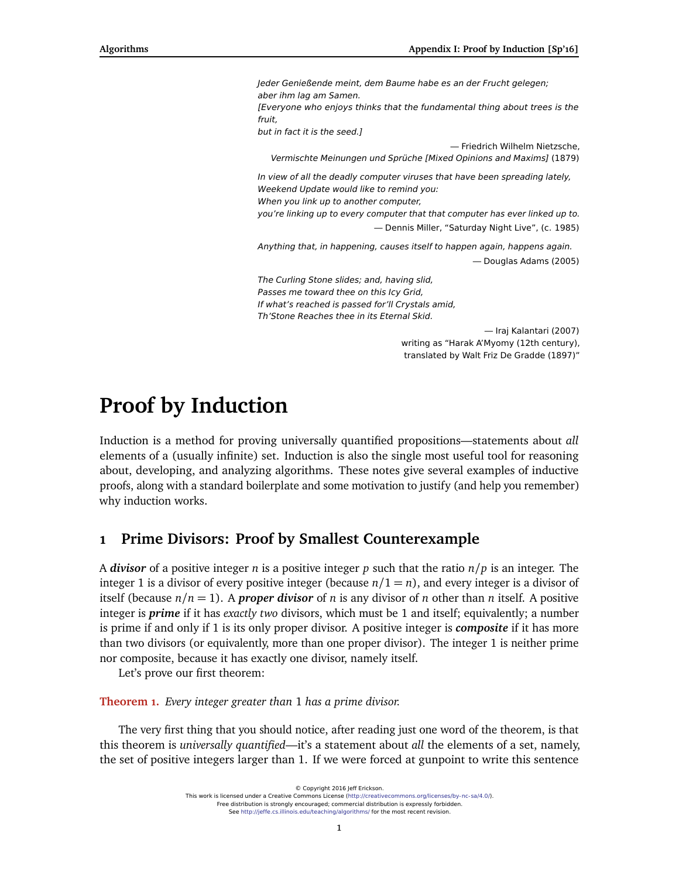Jeder Genießende meint, dem Baume habe es an der Frucht gelegen; aber ihm lag am Samen. [Everyone who enjoys thinks that the fundamental thing about trees is the fruit, but in fact it is the seed.] — Friedrich Wilhelm Nietzsche, Vermischte Meinungen und Sprüche [Mixed Opinions and Maxims] (1879) In view of all the deadly computer viruses that have been spreading lately, Weekend Update would like to remind you: When you link up to another computer, you're linking up to every computer that that computer has ever linked up to. — Dennis Miller, "Saturday Night Live", (c. 1985) Anything that, in happening, causes itself to happen again, happens again. — Douglas Adams (2005) The Curling Stone slides; and, having slid, Passes me toward thee on this Icy Grid, If what's reached is passed for'll Crystals amid, Th'Stone Reaches thee in its Eternal Skid. — Iraj Kalantari (2007) writing as "Harak A'Myomy (12th century), translated by Walt Friz De Gradde (1897)"

# **Proof by Induction**

Induction is a method for proving universally quantified propositions—statements about *all* elements of a (usually infinite) set. Induction is also the single most useful tool for reasoning about, developing, and analyzing algorithms. These notes give several examples of inductive proofs, along with a standard boilerplate and some motivation to justify (and help you remember) why induction works.

### **1 Prime Divisors: Proof by Smallest Counterexample**

A *divisor* of a positive integer *n* is a positive integer *p* such that the ratio *n/p* is an integer. The integer 1 is a divisor of every positive integer (because  $n/1 = n$ ), and every integer is a divisor of itself (because  $n/n = 1$ ). A *proper divisor* of *n* is any divisor of *n* other than *n* itself. A positive integer is *prime* if it has *exactly two* divisors, which must be 1 and itself; equivalently; a number is prime if and only if 1 is its only proper divisor. A positive integer is *composite* if it has more than two divisors (or equivalently, more than one proper divisor). The integer 1 is neither prime nor composite, because it has exactly one divisor, namely itself.

Let's prove our first theorem:

**Theorem 1.** *Every integer greater than* 1 *has a prime divisor.*

The very first thing that you should notice, after reading just one word of the theorem, is that this theorem is *universally quantified*—it's a statement about *all* the elements of a set, namely, the set of positive integers larger than 1. If we were forced at gunpoint to write this sentence

© Copyright 2016 Jeff Erickson.

This work is licensed under a Creative Commons License [\(http://creativecommons.org/licenses/by-nc-sa/4.0/\)](http://creativecommons.org/licenses/by-nc-sa/4.0/). Free distribution is strongly encouraged; commercial distribution is expressly forbidden. See <http://jeffe.cs.illinois.edu/teaching/algorithms/> for the most recent revision.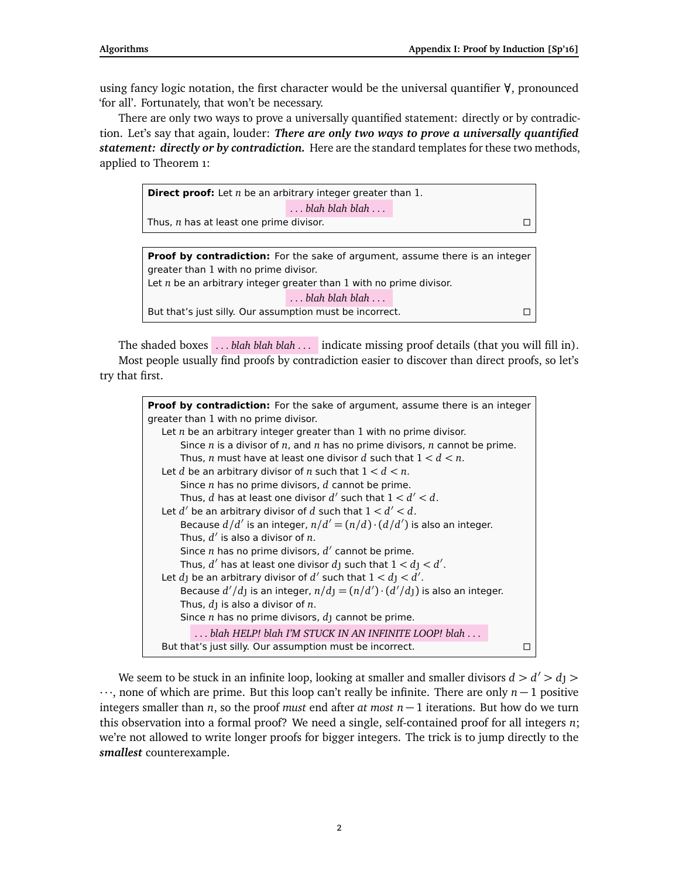using fancy logic notation, the first character would be the universal quantifier **∀**, pronounced 'for all'. Fortunately, that won't be necessary.

There are only two ways to prove a universally quantified statement: directly or by contradiction. Let's say that again, louder: *There are only two ways to prove a universally quantified statement: directly or by contradiction.* Here are the standard templates for these two methods, applied to Theorem 1:

| <b>Direct proof:</b> Let $n$ be an arbitrary integer greater than 1. |                                |  |  |
|----------------------------------------------------------------------|--------------------------------|--|--|
|                                                                      | $\dots$ blah blah blah $\dots$ |  |  |
| Thus, n has at least one prime divisor.                              |                                |  |  |
|                                                                      |                                |  |  |

**Proof by contradiction:** For the sake of argument, assume there is an integer greater than 1 with no prime divisor. Let *n* be an arbitrary integer greater than 1 with no prime divisor. *. . . blah blah blah . . .* But that's just silly. Our assumption must be incorrect.

The shaded boxes *. . . blah blah blah . . .* indicate missing proof details (that you will fill in). Most people usually find proofs by contradiction easier to discover than direct proofs, so let's try that first.

| <b>Proof by contradiction:</b> For the sake of argument, assume there is an integer |  |
|-------------------------------------------------------------------------------------|--|
| greater than 1 with no prime divisor.                                               |  |
| Let $n$ be an arbitrary integer greater than 1 with no prime divisor.               |  |
| Since n is a divisor of $n$ , and $n$ has no prime divisors, $n$ cannot be prime.   |  |
| Thus, n must have at least one divisor d such that $1 < d < n$ .                    |  |
| Let d be an arbitrary divisor of n such that $1 < d < n$ .                          |  |
| Since $n$ has no prime divisors, $d$ cannot be prime.                               |  |
| Thus, d has at least one divisor d' such that $1 < d' < d$ .                        |  |
| Let $d'$ be an arbitrary divisor of d such that $1 < d' < d$ .                      |  |
| Because $d/d'$ is an integer, $n/d' = (n/d) \cdot (d/d')$ is also an integer.       |  |
| Thus, $d'$ is also a divisor of n.                                                  |  |
| Since <i>n</i> has no prime divisors, $d'$ cannot be prime.                         |  |
| Thus, $d'$ has at least one divisor $d_1$ such that $1 < d_1 < d'$ .                |  |
| Let $d_1$ be an arbitrary divisor of $d'$ such that $1 < d_1 < d'$ .                |  |
| Because $d'/d$ is an integer, $n/d$ = $(n/d') \cdot (d'/d)$ is also an integer.     |  |
| Thus, $d_1$ is also a divisor of n.                                                 |  |
| Since <i>n</i> has no prime divisors, $d_1$ cannot be prime.                        |  |
| blah HELP! blah I'M STUCK IN AN INFINITE LOOP! blah                                 |  |
| But that's just silly. Our assumption must be incorrect.                            |  |

We seem to be stuck in an infinite loop, looking at smaller and smaller divisors  $d > d' > d$ J ···, none of which are prime. But this loop can't really be infinite. There are only *n* − 1 positive integers smaller than *n*, so the proof *must* end after *at most n* − 1 iterations. But how do we turn this observation into a formal proof? We need a single, self-contained proof for all integers *n*; we're not allowed to write longer proofs for bigger integers. The trick is to jump directly to the *smallest* counterexample.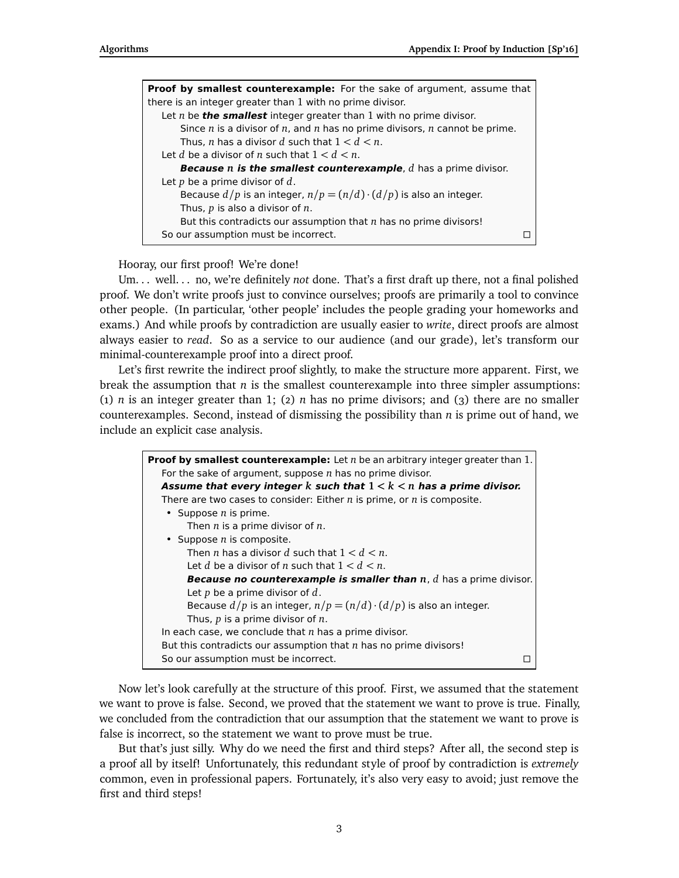**Proof by smallest counterexample:** For the sake of argument, assume that there is an integer greater than 1 with no prime divisor. Let *n* be **the smallest** integer greater than 1 with no prime divisor. Since *n* is a divisor of *n*, and *n* has no prime divisors, *n* cannot be prime. Thus, *n* has a divisor *d* such that  $1 < d < n$ . Let  $d$  be a divisor of  $n$  such that  $1 < d < n$ . **Because** *n* **is the smallest counterexample**, *d* has a prime divisor. Let *p* be a prime divisor of *d*. Because  $d/p$  is an integer,  $n/p = (n/d) \cdot (d/p)$  is also an integer. Thus, *p* is also a divisor of *n*. But this contradicts our assumption that *n* has no prime divisors! So our assumption must be incorrect.

Hooray, our first proof! We're done!

Um. . . well. . . no, we're definitely *not* done. That's a first draft up there, not a final polished proof. We don't write proofs just to convince ourselves; proofs are primarily a tool to convince other people. (In particular, 'other people' includes the people grading your homeworks and exams.) And while proofs by contradiction are usually easier to *write*, direct proofs are almost always easier to *read*. So as a service to our audience (and our grade), let's transform our minimal-counterexample proof into a direct proof.

Let's first rewrite the indirect proof slightly, to make the structure more apparent. First, we break the assumption that *n* is the smallest counterexample into three simpler assumptions: (1) *n* is an integer greater than 1; (2) *n* has no prime divisors; and (3) there are no smaller counterexamples. Second, instead of dismissing the possibility than *n* is prime out of hand, we include an explicit case analysis.

| <b>Proof by smallest counterexample:</b> Let $n$ be an arbitrary integer greater than $1$ .<br>For the sake of argument, suppose $n$ has no prime divisor. |  |
|------------------------------------------------------------------------------------------------------------------------------------------------------------|--|
|                                                                                                                                                            |  |
| Assume that every integer k such that $1 < k < n$ has a prime divisor.                                                                                     |  |
| There are two cases to consider: Either $n$ is prime, or $n$ is composite.                                                                                 |  |
| • Suppose $n$ is prime.                                                                                                                                    |  |
| Then $n$ is a prime divisor of $n$ .                                                                                                                       |  |
| • Suppose $n$ is composite.                                                                                                                                |  |
| Then n has a divisor d such that $1 < d < n$ .                                                                                                             |  |
| Let d be a divisor of n such that $1 < d < n$ .                                                                                                            |  |
| <b>Because no counterexample is smaller than <math>n</math></b> , $d$ has a prime divisor.                                                                 |  |
| Let $p$ be a prime divisor of $d$ .                                                                                                                        |  |
| Because $d/p$ is an integer, $n/p = (n/d) \cdot (d/p)$ is also an integer.                                                                                 |  |
| Thus, $p$ is a prime divisor of $n$ .                                                                                                                      |  |
| In each case, we conclude that $n$ has a prime divisor.                                                                                                    |  |
| But this contradicts our assumption that $n$ has no prime divisors!                                                                                        |  |
| So our assumption must be incorrect.                                                                                                                       |  |

Now let's look carefully at the structure of this proof. First, we assumed that the statement we want to prove is false. Second, we proved that the statement we want to prove is true. Finally, we concluded from the contradiction that our assumption that the statement we want to prove is false is incorrect, so the statement we want to prove must be true.

But that's just silly. Why do we need the first and third steps? After all, the second step is a proof all by itself! Unfortunately, this redundant style of proof by contradiction is *extremely* common, even in professional papers. Fortunately, it's also very easy to avoid; just remove the first and third steps!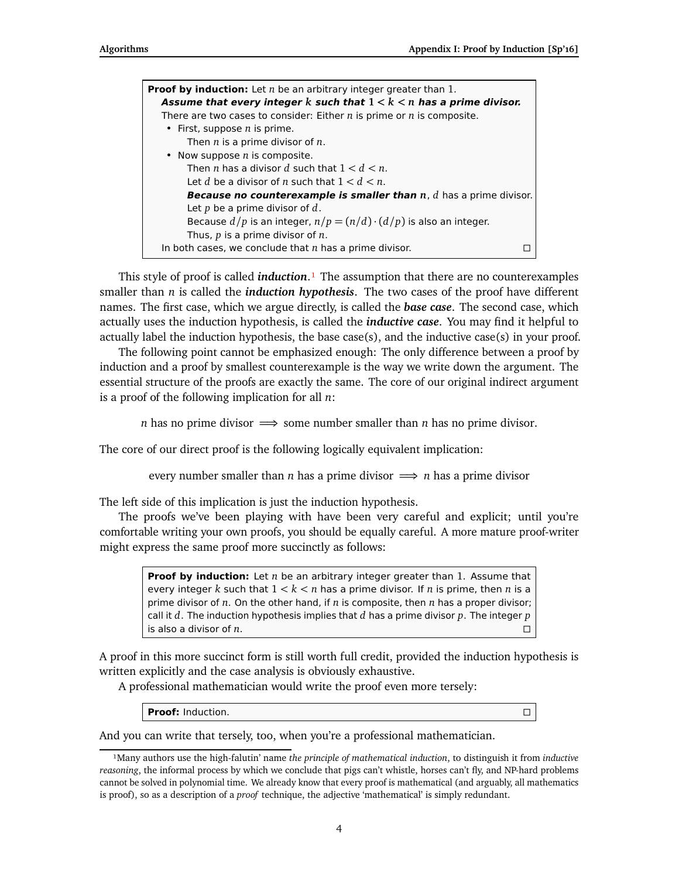| <b>Proof by induction:</b> Let $n$ be an arbitrary integer greater than $1$ .<br>Assume that every integer k such that $1 < k < n$ has a prime divisor. |  |
|---------------------------------------------------------------------------------------------------------------------------------------------------------|--|
| There are two cases to consider: Either $n$ is prime or $n$ is composite.                                                                               |  |
| • First, suppose $n$ is prime.                                                                                                                          |  |
| Then $n$ is a prime divisor of $n$ .                                                                                                                    |  |
| • Now suppose $n$ is composite.                                                                                                                         |  |
| Then n has a divisor d such that $1 < d < n$ .                                                                                                          |  |
| Let d be a divisor of n such that $1 < d < n$ .                                                                                                         |  |
| <b>Because no counterexample is smaller than <math>n</math></b> , $d$ has a prime divisor.                                                              |  |
| Let p be a prime divisor of $d$ .                                                                                                                       |  |
| Because $d/p$ is an integer, $n/p = (n/d) \cdot (d/p)$ is also an integer.                                                                              |  |
| Thus, $p$ is a prime divisor of $n$ .                                                                                                                   |  |
| In both cases, we conclude that $n$ has a prime divisor.                                                                                                |  |

This style of proof is called *induction*.<sup>1</sup> The assumption that there are no counterexamples smaller than *n* is called the *induction hypothesis*. The two cases of the proof have different names. The first case, which we argue directly, is called the *base case*. The second case, which actually uses the induction hypothesis, is called the *inductive case*. You may find it helpful to actually label the induction hypothesis, the base case $(s)$ , and the inductive case $(s)$  in your proof.

The following point cannot be emphasized enough: The only difference between a proof by induction and a proof by smallest counterexample is the way we write down the argument. The essential structure of the proofs are exactly the same. The core of our original indirect argument is a proof of the following implication for all *n*:

*n* has no prime divisor  $\implies$  some number smaller than *n* has no prime divisor.

The core of our direct proof is the following logically equivalent implication:

every number smaller than *n* has a prime divisor  $\implies$  *n* has a prime divisor

The left side of this implication is just the induction hypothesis.

The proofs we've been playing with have been very careful and explicit; until you're comfortable writing your own proofs, you should be equally careful. A more mature proof-writer might express the same proof more succinctly as follows:

**Proof by induction:** Let *n* be an arbitrary integer greater than 1. Assume that every integer *k* such that 1 *< k < n* has a prime divisor. If *n* is prime, then *n* is a prime divisor of *n*. On the other hand, if *n* is composite, then *n* has a proper divisor; call it *d*. The induction hypothesis implies that *d* has a prime divisor *p*. The integer *p* is also a divisor of *n*.

A proof in this more succinct form is still worth full credit, provided the induction hypothesis is written explicitly and the case analysis is obviously exhaustive.

A professional mathematician would write the proof even more tersely:

**Proof:** Induction.

And you can write that tersely, too, when you're a professional mathematician.

<span id="page-3-0"></span><sup>&</sup>lt;sup>1</sup>Many authors use the high-falutin' name *the principle of mathematical induction*, to distinguish it from *inductive reasoning*, the informal process by which we conclude that pigs can't whistle, horses can't fly, and NP-hard problems cannot be solved in polynomial time. We already know that every proof is mathematical (and arguably, all mathematics is proof), so as a description of a *proof* technique, the adjective 'mathematical' is simply redundant.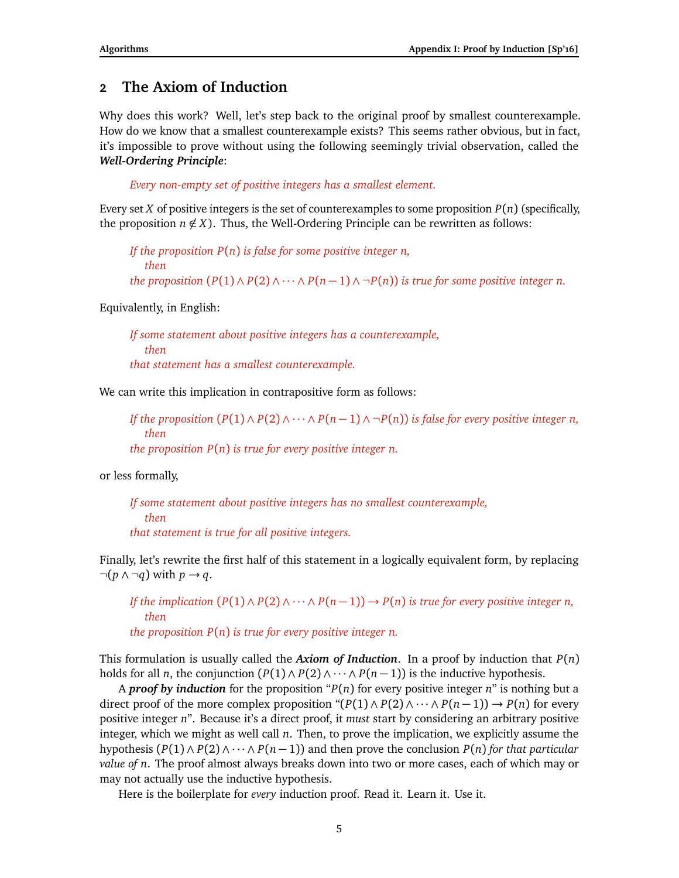# **2 The Axiom of Induction**

Why does this work? Well, let's step back to the original proof by smallest counterexample. How do we know that a smallest counterexample exists? This seems rather obvious, but in fact, it's impossible to prove without using the following seemingly trivial observation, called the *Well-Ordering Principle*:

*Every non-empty set of positive integers has a smallest element.*

Every set *X* of positive integers is the set of counterexamples to some proposition  $P(n)$  (specifically, the proposition  $n \notin X$ ). Thus, the Well-Ordering Principle can be rewritten as follows:

*If the proposition*  $P(n)$  *is false for some positive integer n, then the proposition*  $(P(1) \wedge P(2) \wedge \cdots \wedge P(n-1) \wedge \neg P(n)$  *is true for some positive integer n.* 

Equivalently, in English:

*If some statement about positive integers has a counterexample, then that statement has a smallest counterexample.*

We can write this implication in contrapositive form as follows:

*If the proposition*  $(P(1) \wedge P(2) \wedge \cdots \wedge P(n-1) \wedge \neg P(n)$  *is false for every positive integer n, then*

*the proposition*  $P(n)$  *is true for every positive integer n.* 

or less formally,

*If some statement about positive integers has no smallest counterexample, then that statement is true for all positive integers.*

Finally, let's rewrite the first half of this statement in a logically equivalent form, by replacing  $\neg(p \land \neg q)$  with  $p \rightarrow q$ .

*If the implication*  $(P(1) \wedge P(2) \wedge \cdots \wedge P(n-1)) \rightarrow P(n)$  *is true for every positive integer n, then*

*the proposition*  $P(n)$  *is true for every positive integer n.* 

This formulation is usually called the *Axiom of Induction*. In a proof by induction that *P*(*n*) holds for all *n*, the conjunction  $(P(1) \wedge P(2) \wedge \cdots \wedge P(n-1))$  is the inductive hypothesis.

A **proof by induction** for the proposition " $P(n)$  for every positive integer  $n$ " is nothing but a direct proof of the more complex proposition " $(P(1) \wedge P(2) \wedge \cdots \wedge P(n-1)) \rightarrow P(n)$  for every positive integer *n*". Because it's a direct proof, it *must* start by considering an arbitrary positive integer, which we might as well call *n*. Then, to prove the implication, we explicitly assume the hypothesis  $(P(1) \wedge P(2) \wedge \cdots \wedge P(n-1))$  and then prove the conclusion  $P(n)$  *for that particular value of n*. The proof almost always breaks down into two or more cases, each of which may or may not actually use the inductive hypothesis.

Here is the boilerplate for *every* induction proof. Read it. Learn it. Use it.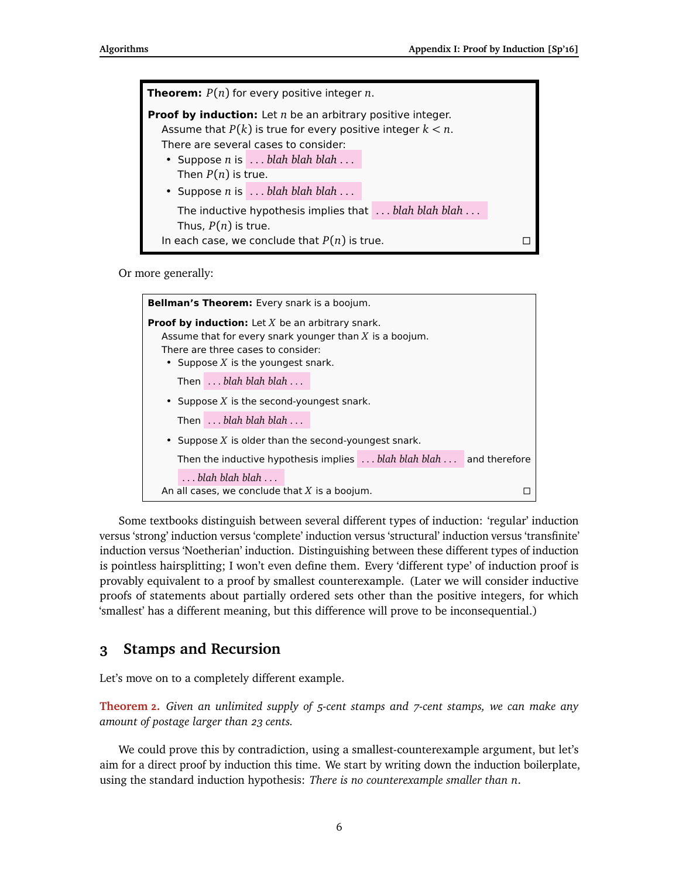**Theorem:** *P*(*n*) for every positive integer *n*. **Proof by induction:** Let *n* be an arbitrary positive integer. Assume that  $P(k)$  is true for every positive integer  $k < n$ . There are several cases to consider: • Suppose *n* is *. . . blah blah blah . . .* Then  $P(n)$  is true. • Suppose *n* is *. . . blah blah blah . . .* The inductive hypothesis implies that *. . . blah blah blah . . .* Thus,  $P(n)$  is true. In each case, we conclude that  $P(n)$  is true.

Or more generally:

| <b>Bellman's Theorem:</b> Every snark is a boojum.                                                                                                                                                 |  |  |
|----------------------------------------------------------------------------------------------------------------------------------------------------------------------------------------------------|--|--|
| <b>Proof by induction:</b> Let $X$ be an arbitrary snark.<br>Assume that for every snark younger than $X$ is a boojum.<br>There are three cases to consider:<br>• Suppose X is the youngest snark. |  |  |
| Then $\ldots$ blah blah blah $\ldots$                                                                                                                                                              |  |  |
| • Suppose X is the second-youngest snark.                                                                                                                                                          |  |  |
| Then $\ldots$ blah blah blah $\ldots$                                                                                                                                                              |  |  |
| • Suppose X is older than the second-youngest snark.                                                                                                                                               |  |  |
| Then the inductive hypothesis implies $\dots$ blah blah $b$ lah $\dots$ and therefore                                                                                                              |  |  |
| $\ldots$ blah blah blah $\ldots$                                                                                                                                                                   |  |  |
| An all cases, we conclude that $X$ is a boojum.                                                                                                                                                    |  |  |

Some textbooks distinguish between several different types of induction: 'regular' induction versus 'strong' induction versus 'complete' induction versus 'structural' induction versus 'transfinite' induction versus 'Noetherian' induction. Distinguishing between these different types of induction is pointless hairsplitting; I won't even define them. Every 'different type' of induction proof is provably equivalent to a proof by smallest counterexample. (Later we will consider inductive proofs of statements about partially ordered sets other than the positive integers, for which 'smallest' has a different meaning, but this difference will prove to be inconsequential.)

### **3 Stamps and Recursion**

Let's move on to a completely different example.

**Theorem 2.** *Given an unlimited supply of 5-cent stamps and 7-cent stamps, we can make any amount of postage larger than 23 cents.*

We could prove this by contradiction, using a smallest-counterexample argument, but let's aim for a direct proof by induction this time. We start by writing down the induction boilerplate, using the standard induction hypothesis: *There is no counterexample smaller than n*.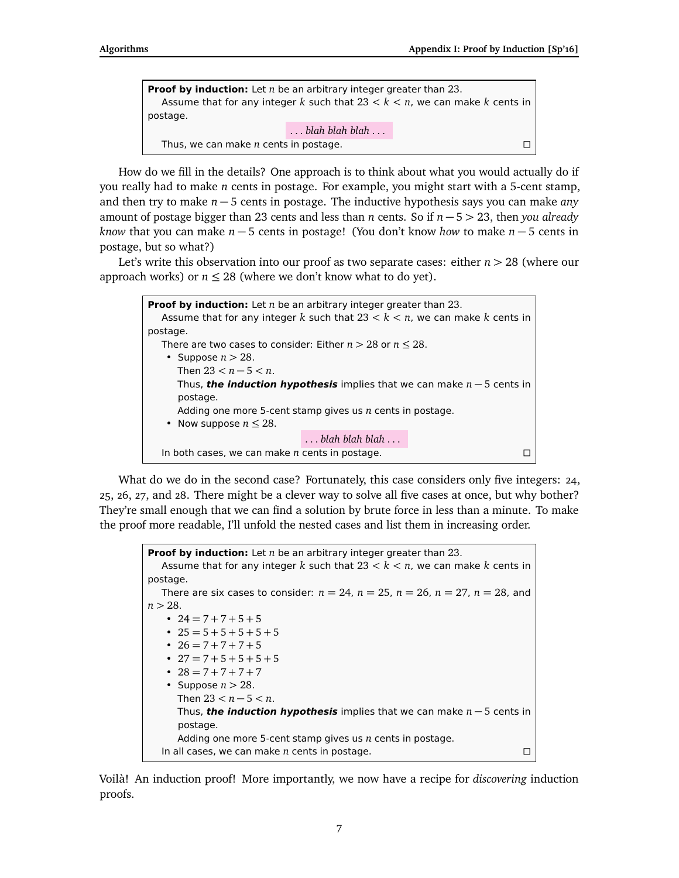| <b>Proof by induction:</b> Let $n$ be an arbitrary integer greater than 23. |                                  |                                                                               |
|-----------------------------------------------------------------------------|----------------------------------|-------------------------------------------------------------------------------|
|                                                                             |                                  | Assume that for any integer k such that $23 < k < n$ , we can make k cents in |
| postage.                                                                    |                                  |                                                                               |
|                                                                             | $\ldots$ blah blah blah $\ldots$ |                                                                               |
| Thus, we can make n cents in postage.                                       |                                  |                                                                               |

How do we fill in the details? One approach is to think about what you would actually do if you really had to make *n* cents in postage. For example, you might start with a 5-cent stamp, and then try to make *n* − 5 cents in postage. The inductive hypothesis says you can make *any* amount of postage bigger than 23 cents and less than *n* cents. So if *n* − 5 *>* 23, then *you already know* that you can make *n* − 5 cents in postage! (You don't know *how* to make *n* − 5 cents in postage, but so what?)

Let's write this observation into our proof as two separate cases: either *n >* 28 (where our approach works) or  $n \leq 28$  (where we don't know what to do yet).

| <b>Proof by induction:</b> Let $n$ be an arbitrary integer greater than 23.<br>Assume that for any integer k such that $23 < k < n$ , we can make k cents in |                                  |  |  |
|--------------------------------------------------------------------------------------------------------------------------------------------------------------|----------------------------------|--|--|
| postage.                                                                                                                                                     |                                  |  |  |
| There are two cases to consider: Either $n > 28$ or $n \le 28$ .                                                                                             |                                  |  |  |
| • Suppose $n > 28$ .                                                                                                                                         |                                  |  |  |
| Then $23 < n - 5 < n$ .                                                                                                                                      |                                  |  |  |
| Thus, <b>the induction hypothesis</b> implies that we can make $n-5$ cents in<br>postage.                                                                    |                                  |  |  |
| Adding one more 5-cent stamp gives us $n$ cents in postage.                                                                                                  |                                  |  |  |
| • Now suppose $n \leq 28$ .                                                                                                                                  |                                  |  |  |
|                                                                                                                                                              | $\ldots$ blah blah blah $\ldots$ |  |  |
| In both cases, we can make $n$ cents in postage.                                                                                                             |                                  |  |  |

What do we do in the second case? Fortunately, this case considers only five integers: 24, 25, 26, 27, and 28. There might be a clever way to solve all five cases at once, but why bother? They're small enough that we can find a solution by brute force in less than a minute. To make the proof more readable, I'll unfold the nested cases and list them in increasing order.

**Proof by induction:** Let *n* be an arbitrary integer greater than 23. Assume that for any integer  $k$  such that  $23 < k < n$ , we can make  $k$  cents in postage. There are six cases to consider:  $n = 24$ ,  $n = 25$ ,  $n = 26$ ,  $n = 27$ ,  $n = 28$ , and  $n > 28$ . •  $24 = 7 + 7 + 5 + 5$ •  $25 = 5 + 5 + 5 + 5 + 5$ •  $26 = 7 + 7 + 7 + 5$ •  $27 = 7 + 5 + 5 + 5 + 5$ •  $28 = 7 + 7 + 7 + 7$ • Suppose  $n > 28$ . Then 23 *< n* − 5 *< n*. Thus, **the induction hypothesis** implies that we can make *n* − 5 cents in postage. Adding one more 5-cent stamp gives us *n* cents in postage. In all cases, we can make *n* cents in postage.

Voilà! An induction proof! More importantly, we now have a recipe for *discovering* induction proofs.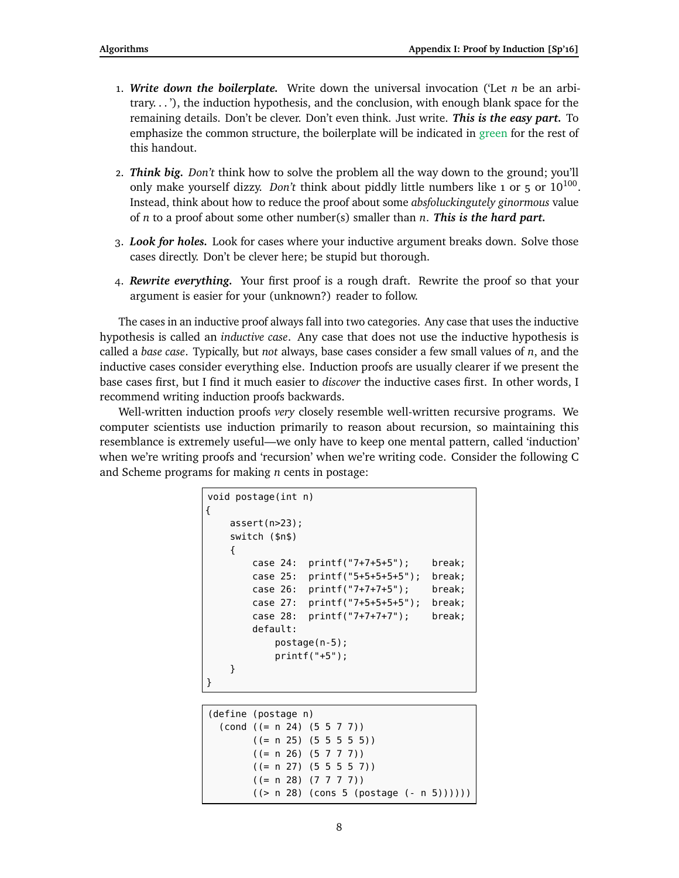- 1. *Write down the boilerplate.* Write down the universal invocation ('Let *n* be an arbitrary. . . '), the induction hypothesis, and the conclusion, with enough blank space for the remaining details. Don't be clever. Don't even think. Just write. *This is the easy part.* To emphasize the common structure, the boilerplate will be indicated in green for the rest of this handout.
- 2. *Think big. Don't* think how to solve the problem all the way down to the ground; you'll only make yourself dizzy. *Don't* think about piddly little numbers like 1 or 5 or  $10^{100}$ . Instead, think about how to reduce the proof about some *absfoluckingutely ginormous* value of *n* to a proof about some other number(s) smaller than *n*. *This is the hard part.*
- 3. *Look for holes.* Look for cases where your inductive argument breaks down. Solve those cases directly. Don't be clever here; be stupid but thorough.
- 4. *Rewrite everything.* Your first proof is a rough draft. Rewrite the proof so that your argument is easier for your (unknown?) reader to follow.

The cases in an inductive proof always fall into two categories. Any case that uses the inductive hypothesis is called an *inductive case*. Any case that does not use the inductive hypothesis is called a *base case*. Typically, but *not* always, base cases consider a few small values of *n*, and the inductive cases consider everything else. Induction proofs are usually clearer if we present the base cases first, but I find it much easier to *discover* the inductive cases first. In other words, I recommend writing induction proofs backwards.

Well-written induction proofs *very* closely resemble well-written recursive programs. We computer scientists use induction primarily to reason about recursion, so maintaining this resemblance is extremely useful—we only have to keep one mental pattern, called 'induction' when we're writing proofs and 'recursion' when we're writing code. Consider the following C and Scheme programs for making *n* cents in postage:

```
void postage(int n)
{
    assert(n>23);
    switch ($n$)
    {
       case 24: printf("7+7+5+5"); break;
       case 25: printf("5+5+5+5+5"); break;
       case 26: printf("7+7+7+5"); break;
       case 27: printf("7+5+5+5+5"); break;
       case 28: printf("7+7+7+7"); break;
       default:
           postage(n-5);
           printf("+5");
    }
}
```

```
(define (postage n)
  \left(\text{cond } ((= n 24) (5 5 7 7))\right)((= n 25) (5 5 5 5 5))((= n 26) (5 7 7 7))((= n 27) (5 5 5 5 7))((= n 28) (7 7 7 7))((> n 28) (cons 5 (postage (- n 5))))))
```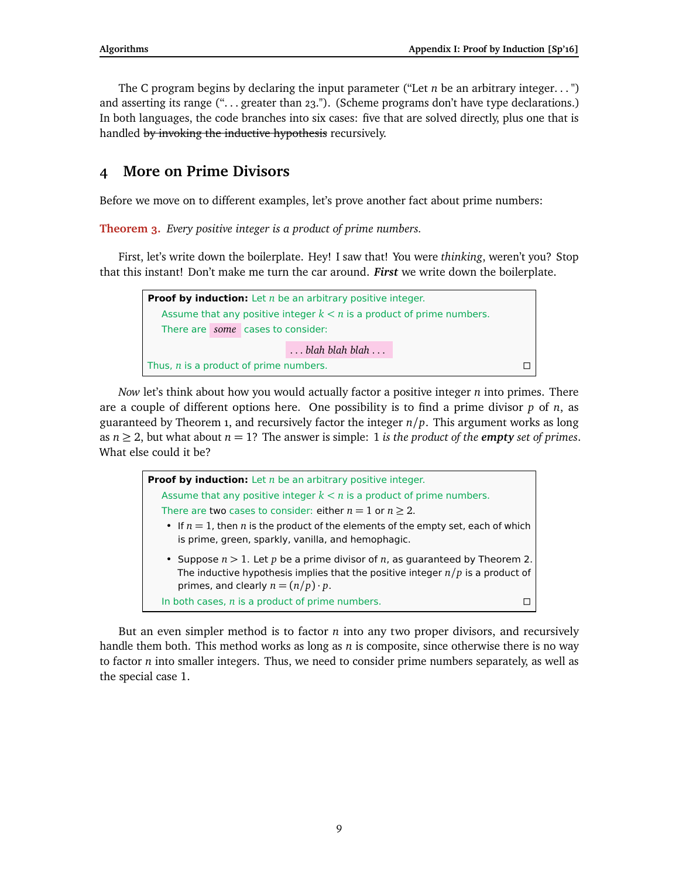The C program begins by declaring the input parameter ("Let  $n$  be an arbitrary integer...") and asserting its range ("... greater than 23."). (Scheme programs don't have type declarations.) In both languages, the code branches into six cases: five that are solved directly, plus one that is handled by invoking the inductive hypothesis recursively.

### **4 More on Prime Divisors**

Before we move on to different examples, let's prove another fact about prime numbers:

**Theorem 3.** *Every positive integer is a product of prime numbers.*

First, let's write down the boilerplate. Hey! I saw that! You were *thinking*, weren't you? Stop that this instant! Don't make me turn the car around. *First* we write down the boilerplate.



*Now* let's think about how you would actually factor a positive integer *n* into primes. There are a couple of different options here. One possibility is to find a prime divisor *p* of *n*, as guaranteed by Theorem 1, and recursively factor the integer *n/p*. This argument works as long as  $n \geq 2$ , but what about  $n = 1$ ? The answer is simple: 1 *is the product of the empty set of primes.* What else could it be?

| Proof by induction: Let n be an arbitrary positive integer.                                                                                                                                                     |  |  |
|-----------------------------------------------------------------------------------------------------------------------------------------------------------------------------------------------------------------|--|--|
| Assume that any positive integer $k < n$ is a product of prime numbers.                                                                                                                                         |  |  |
| There are two cases to consider: either $n = 1$ or $n \ge 2$ .                                                                                                                                                  |  |  |
| • If $n = 1$ , then n is the product of the elements of the empty set, each of which<br>is prime, green, sparkly, vanilla, and hemophagic.                                                                      |  |  |
| • Suppose $n > 1$ . Let p be a prime divisor of n, as guaranteed by Theorem 2.<br>The inductive hypothesis implies that the positive integer $n/p$ is a product of<br>primes, and clearly $n = (n/p) \cdot p$ . |  |  |
| In both cases, $n$ is a product of prime numbers.                                                                                                                                                               |  |  |

But an even simpler method is to factor *n* into any two proper divisors, and recursively handle them both. This method works as long as *n* is composite, since otherwise there is no way to factor *n* into smaller integers. Thus, we need to consider prime numbers separately, as well as the special case 1.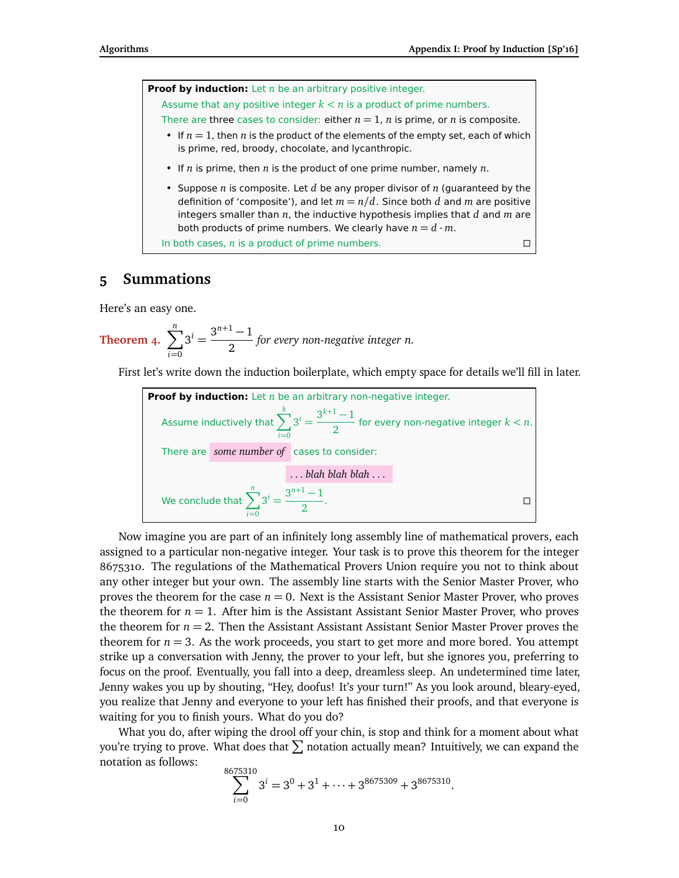**Proof by induction:** Let *n* be an arbitrary positive integer.

Assume that any positive integer  $k < n$  is a product of prime numbers.

There are three cases to consider: either  $n = 1$ , *n* is prime, or *n* is composite.

- If  $n = 1$ , then *n* is the product of the elements of the empty set, each of which is prime, red, broody, chocolate, and lycanthropic.
- If *n* is prime, then *n* is the product of one prime number, namely *n*.
- Suppose *n* is composite. Let *d* be any proper divisor of *n* (guaranteed by the definition of 'composite'), and let  $m = n/d$ . Since both *d* and *m* are positive integers smaller than *n*, the inductive hypothesis implies that *d* and *m* are both products of prime numbers. We clearly have  $n = d \cdot m$ .

In both cases, *n* is a product of prime numbers.

#### **5 Summations**

Here's an easy one.

**Theorem 4.** 
$$
\sum_{i=0}^{n} 3^{i} = \frac{3^{n+1} - 1}{2}
$$
 for every non-negative integer n.

First let's write down the induction boilerplate, which empty space for details we'll fill in later.

**Proof by induction:** Let *n* be an arbitrary non-negative integer.  
\nAssume inductively that 
$$
\sum_{i=0}^{k} 3^{i} = \frac{3^{k+1} - 1}{2}
$$
 for every non-negative integer  $k < n$ .  
\nThere are *some number of* cases to consider:  
\n... *blah blah*...  
\nWe conclude that 
$$
\sum_{i=0}^{n} 3^{i} = \frac{3^{n+1} - 1}{2}
$$

Now imagine you are part of an infinitely long assembly line of mathematical provers, each assigned to a particular non-negative integer. Your task is to prove this theorem for the integer 8675310. The regulations of the Mathematical Provers Union require you not to think about any other integer but your own. The assembly line starts with the Senior Master Prover, who proves the theorem for the case  $n = 0$ . Next is the Assistant Senior Master Prover, who proves the theorem for  $n = 1$ . After him is the Assistant Assistant Senior Master Prover, who proves the theorem for  $n = 2$ . Then the Assistant Assistant Assistant Senior Master Prover proves the theorem for  $n = 3$ . As the work proceeds, you start to get more and more bored. You attempt strike up a conversation with Jenny, the prover to your left, but she ignores you, preferring to focus on the proof. Eventually, you fall into a deep, dreamless sleep. An undetermined time later, Jenny wakes you up by shouting, "Hey, doofus! It's your turn!" As you look around, bleary-eyed, you realize that Jenny and everyone to your left has finished their proofs, and that everyone is waiting for you to finish yours. What do you do?

What you do, after wiping the drool off your chin, is stop and think for a moment about what you're trying to prove. What does that  $\sum$  notation actually mean? Intuitively, we can expand the notation as follows:

$$
\sum_{i=0}^{8675310} 3^i = 3^0 + 3^1 + \dots + 3^{8675309} + 3^{8675310}.
$$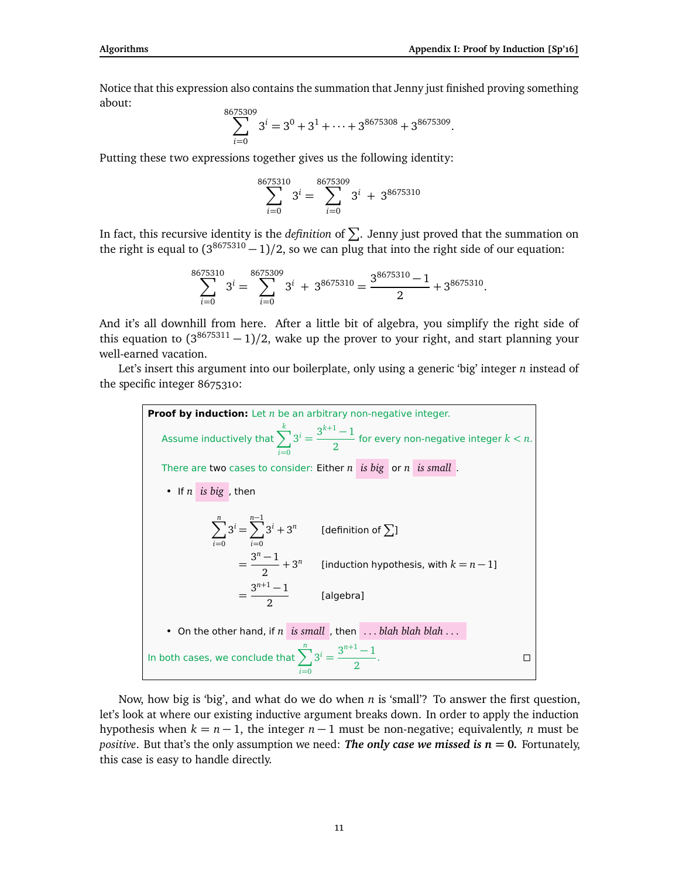Notice that this expression also contains the summation that Jenny just finished proving something about: 8675309

$$
\sum_{i=0}^{8675309} 3^i = 3^0 + 3^1 + \dots + 3^{8675308} + 3^{8675309}.
$$

Putting these two expressions together gives us the following identity:

$$
\sum_{i=0}^{8675310} 3^i = \sum_{i=0}^{8675309} 3^i + 3^{8675310}
$$

In fact, this recursive identity is the *definition* of  $\sum$ . Jenny just proved that the summation on the right is equal to  $(3^{8675310} - 1)/2$ , so we can plug that into the right side of our equation:

$$
\sum_{i=0}^{8675310} 3^i = \sum_{i=0}^{8675309} 3^i + 3^{8675310} = \frac{3^{8675310} - 1}{2} + 3^{8675310}.
$$

And it's all downhill from here. After a little bit of algebra, you simplify the right side of this equation to  $(3^{8675311} - 1)/2$ , wake up the prover to your right, and start planning your well-earned vacation.

Let's insert this argument into our boilerplate, only using a generic 'big' integer *n* instead of the specific integer 8675310:

**Proof by induction:** Let *n* be an arbitrary non-negative integer. Assume inductively that  $\sum_{k=1}^{k}$ *i*=0  $3^{i} = \frac{3^{k+1}-1}{2}$  $\frac{1}{2}$  for every non-negative integer  $k < n$ . There are two cases to consider: Either *n is big* or *n is small* . • If *n is big* , then  $\sum_{n=1}^{n}$ *i*=0  $3^{i} = \sum_{1}^{n-1}$ *i*=0  $3^i + 3^n$  [definition of  $\sum$ ] =  $3^n - 1$  $\frac{n-1}{2} + 3^n$  [induction hypothesis, with  $k = n - 1$ ] =  $3^{n+1}-1$ 2 [algebra] • On the other hand, if *n is small*, then ... *blah blah blah* ... In both cases, we conclude that  $\sum_{n=1}^n$ *i*=0  $3^{i} = \frac{3^{n+1}-1}{2}$ 2 .

Now, how big is 'big', and what do we do when *n* is 'small'? To answer the first question, let's look at where our existing inductive argument breaks down. In order to apply the induction hypothesis when  $k = n - 1$ , the integer  $n - 1$  must be non-negative; equivalently, *n* must be *positive.* But that's the only assumption we need: **The only case we missed is**  $n = 0$ **.** Fortunately, this case is easy to handle directly.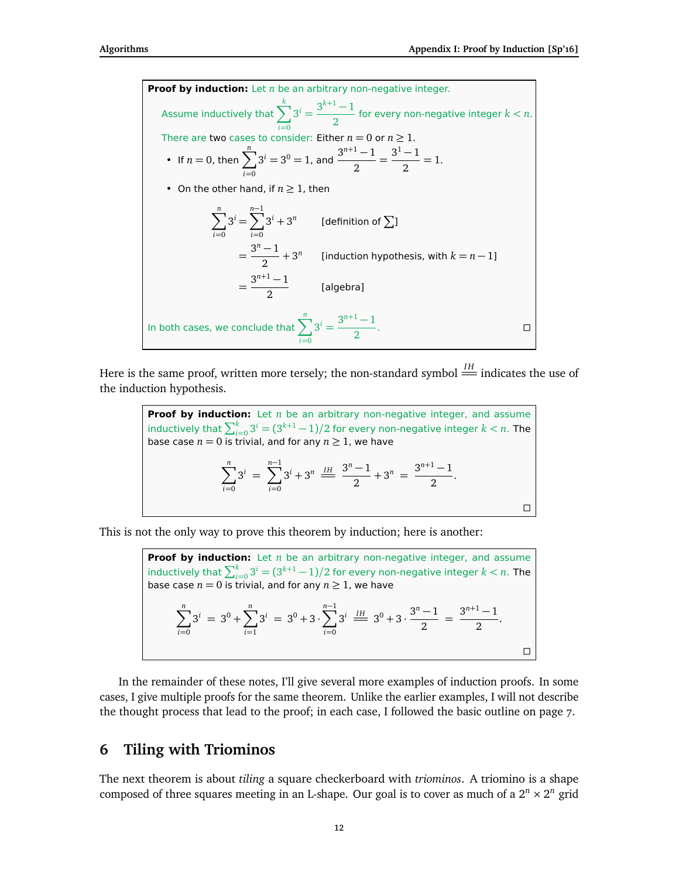**Proof by induction:** Let *n* be an arbitrary non-negative integer. Assume inductively that  $\sum_{k=1}^{k}$ *i*=0  $3^{i} = \frac{3^{k+1}-1}{2}$  $\frac{1}{2}$  for every non-negative integer  $k < n$ . There are two cases to consider: Either  $n = 0$  or  $n \ge 1$ . • If  $n = 0$ , then  $\sum_{n=1}^n$ *i*=0  $3^{i} = 3^{0} = 1$ , and  $\frac{3^{n+1}-1}{2}$  $\frac{1}{2}$  =  $3^1 - 1$  $\frac{1}{2} = 1.$ • On the other hand, if  $n \geq 1$ , then  $\sum_{n=1}^{n}$ *i*=0  $3^{i} = \sum_{n=1}^{n-1}$ *i*=0  $3^i + 3^n$  [definition of  $\sum$ ] =  $3^n - 1$  $\frac{n-1}{2} + 3^n$  [induction hypothesis, with  $k = n - 1$ ] =  $3^{n+1}-1$ 2 [algebra] In both cases, we conclude that  $\sum_{n=1}^n$ *i*=0  $3^{i} = \frac{3^{n+1}-1}{2}$ 2 .

Here is the same proof, written more tersely; the non-standard symbol  $\stackrel{IH}{=}\:$  indicates the use of the induction hypothesis.

**Proof by induction:** Let *n* be an arbitrary non-negative integer, and assume inductively that  $\sum_{i=0}^k 3^i = (3^{k+1}-1)/2$  for every non-negative integer  $k < n$ . The base case  $n = 0$  is trivial, and for any  $n \ge 1$ , we have

$$
\sum_{i=0}^{n} 3^{i} = \sum_{i=0}^{n-1} 3^{i} + 3^{n} \stackrel{\text{IH}}{=} \frac{3^{n} - 1}{2} + 3^{n} = \frac{3^{n+1} - 1}{2}.
$$

This is not the only way to prove this theorem by induction; here is another:

**Proof by induction:** Let *n* be an arbitrary non-negative integer, and assume inductively that  $\sum_{i=0}^k 3^i = (3^{k+1}-1)/2$  for every non-negative integer  $k < n$ . The base case  $n = 0$  is trivial, and for any  $n \geq 1$ , we have

$$
\sum_{i=0}^{n} 3^{i} = 3^{0} + \sum_{i=1}^{n} 3^{i} = 3^{0} + 3 \cdot \sum_{i=0}^{n-1} 3^{i} \stackrel{\text{IH}}{=} 3^{0} + 3 \cdot \frac{3^{n} - 1}{2} = \frac{3^{n+1} - 1}{2}.
$$

In the remainder of these notes, I'll give several more examples of induction proofs. In some cases, I give multiple proofs for the same theorem. Unlike the earlier examples, I will not describe the thought process that lead to the proof; in each case, I followed the basic outline on page 7.

### **6 Tiling with Triominos**

The next theorem is about *tiling* a square checkerboard with *triominos*. A triomino is a shape composed of three squares meeting in an L-shape. Our goal is to cover as much of a  $2^n \times 2^n$  grid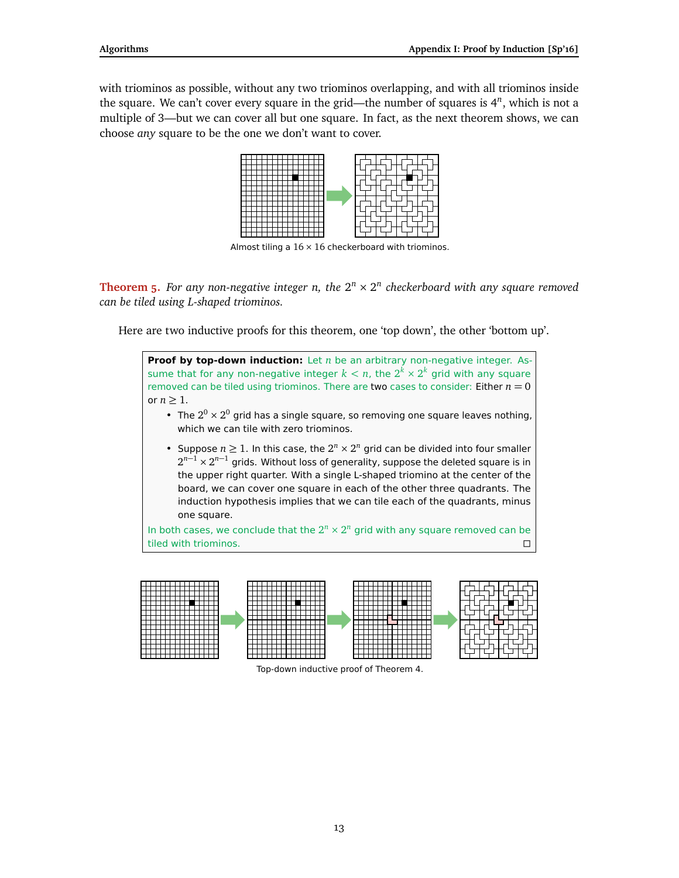with triominos as possible, without any two triominos overlapping, and with all triominos inside the square. We can't cover every square in the grid—the number of squares is 4<sup>n</sup>, which is not a multiple of 3—but we can cover all but one square. In fact, as the next theorem shows, we can choose *any* square to be the one we don't want to cover.



Almost tiling a  $16 \times 16$  checkerboard with triominos.

**Theorem 5.** For any non-negative integer n, the  $2^n \times 2^n$  checkerboard with any square removed *can be tiled using L-shaped triominos.*

Here are two inductive proofs for this theorem, one 'top down', the other 'bottom up'.

**Proof by top-down induction:** Let *n* be an arbitrary non-negative integer. Assume that for any non-negative integer  $k < n$ , the  $2^k \times 2^k$  grid with any square removed can be tiled using triominos. There are two cases to consider: Either  $n = 0$ or  $n \geq 1$ .

- The  $2^0 \times 2^0$  grid has a single square, so removing one square leaves nothing, which we can tile with zero triominos.
- Suppose  $n \geq 1$ . In this case, the  $2^n \times 2^n$  grid can be divided into four smaller  $2^{n-1}$  ×  $2^{n-1}$  grids. Without loss of generality, suppose the deleted square is in the upper right quarter. With a single L-shaped triomino at the center of the board, we can cover one square in each of the other three quadrants. The induction hypothesis implies that we can tile each of the quadrants, minus one square.

In both cases, we conclude that the  $2^n \times 2^n$  grid with any square removed can be tiled with triominos.



Top-down inductive proof of Theorem 4.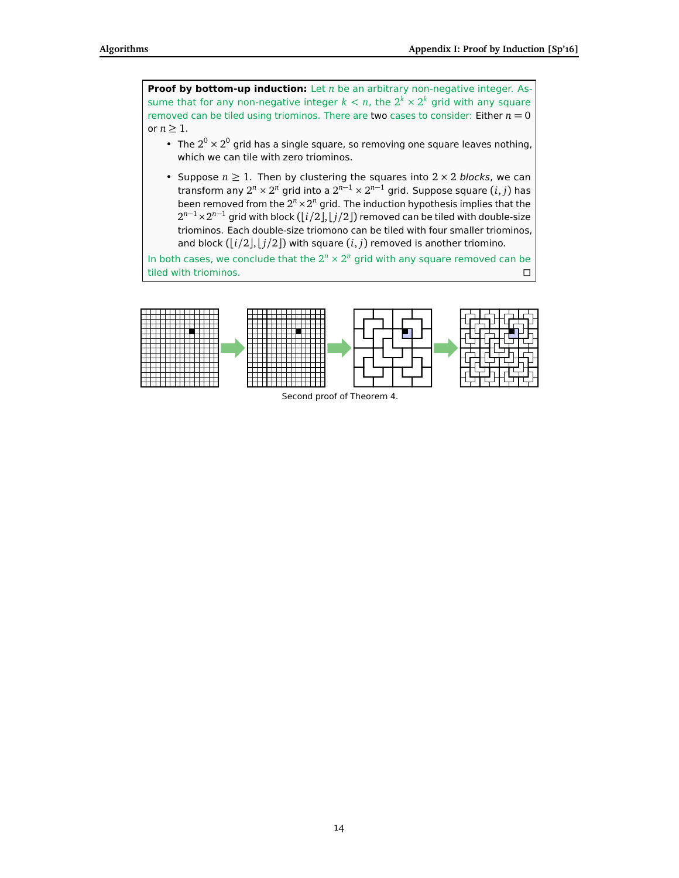**Proof by bottom-up induction:** Let *n* be an arbitrary non-negative integer. Assume that for any non-negative integer  $k < n$ , the  $2^k \times 2^k$  grid with any square removed can be tiled using triominos. There are two cases to consider: Either  $n = 0$ or  $n \geq 1$ .

- The  $2^0 \times 2^0$  grid has a single square, so removing one square leaves nothing, which we can tile with zero triominos.
- Suppose  $n \geq 1$ . Then by clustering the squares into  $2 \times 2$  blocks, we can transform any  $2^n \times 2^n$  grid into a  $2^{n-1} \times 2^{n-1}$  grid. Suppose square  $(i,j)$  has been removed from the  $2^n \times 2^n$  grid. The induction hypothesis implies that the  $2^{n-1}$  ×  $2^{n-1}$  grid with block ([ $i$ /2],[ $j$ /2]) removed can be tiled with double-size triominos. Each double-size triomono can be tiled with four smaller triominos, and block  $(\lfloor i/2 \rfloor, \lfloor j/2 \rfloor)$  with square  $(i, j)$  removed is another triomino.

In both cases, we conclude that the  $2^n \times 2^n$  grid with any square removed can be tiled with triominos.  $\Box$ 



Second proof of Theorem 4.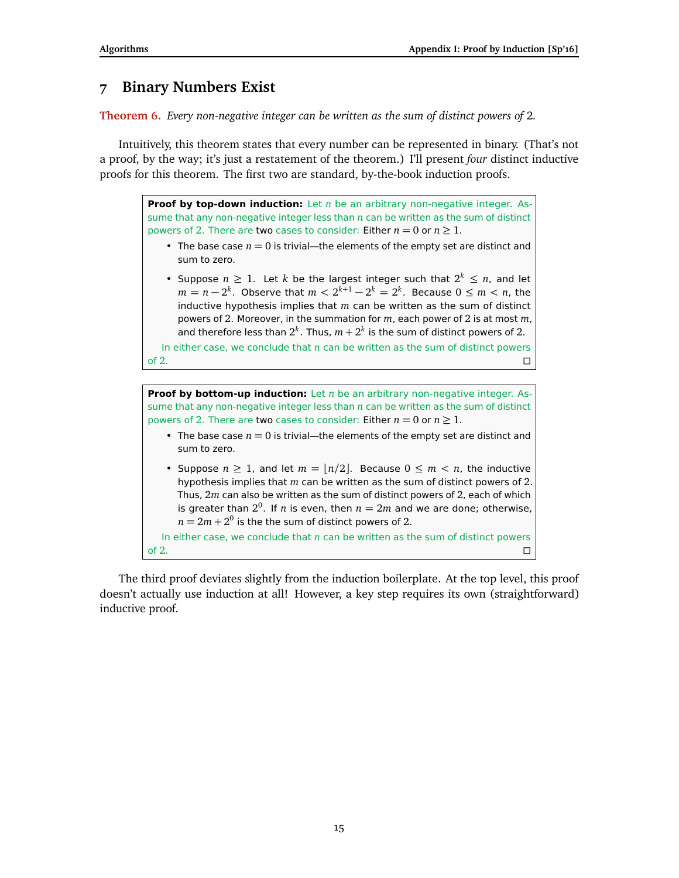# **7 Binary Numbers Exist**

**Theorem 6.** *Every non-negative integer can be written as the sum of distinct powers of* 2*.*

Intuitively, this theorem states that every number can be represented in binary. (That's not a proof, by the way; it's just a restatement of the theorem.) I'll present *four* distinct inductive proofs for this theorem. The first two are standard, by-the-book induction proofs.

**Proof by top-down induction:** Let *n* be an arbitrary non-negative integer. Assume that any non-negative integer less than *n* can be written as the sum of distinct powers of 2. There are two cases to consider: Either  $n = 0$  or  $n \ge 1$ .

- The base case  $n = 0$  is trivial—the elements of the empty set are distinct and sum to zero.
- Suppose  $n \geq 1$ . Let  $k$  be the largest integer such that  $2^k \leq n$ , and let  $m = n - 2^k$ . Observe that  $m < 2^{k+1} - 2^k = 2^k$ . Because  $0 \le m < n$ , the inductive hypothesis implies that *m* can be written as the sum of distinct powers of 2. Moreover, in the summation for *m*, each power of 2 is at most *m*, and therefore less than  $2^k$ . Thus,  $m + 2^k$  is the sum of distinct powers of 2.

In either case, we conclude that *n* can be written as the sum of distinct powers of 2.

**Proof by bottom-up induction:** Let *n* be an arbitrary non-negative integer. Assume that any non-negative integer less than *n* can be written as the sum of distinct powers of 2. There are two cases to consider: Either  $n = 0$  or  $n \ge 1$ .

- The base case  $n = 0$  is trivial—the elements of the empty set are distinct and sum to zero.
- Suppose  $n \geq 1$ , and let  $m = \lfloor n/2 \rfloor$ . Because  $0 \leq m < n$ , the inductive hypothesis implies that *m* can be written as the sum of distinct powers of 2. Thus, 2*m* can also be written as the sum of distinct powers of 2, each of which is greater than  $2^0$ . If *n* is even, then  $n=2m$  and we are done; otherwise,  $n = 2m + 2^0$  is the the sum of distinct powers of 2.

In either case, we conclude that *n* can be written as the sum of distinct powers of 2.

The third proof deviates slightly from the induction boilerplate. At the top level, this proof doesn't actually use induction at all! However, a key step requires its own (straightforward) inductive proof.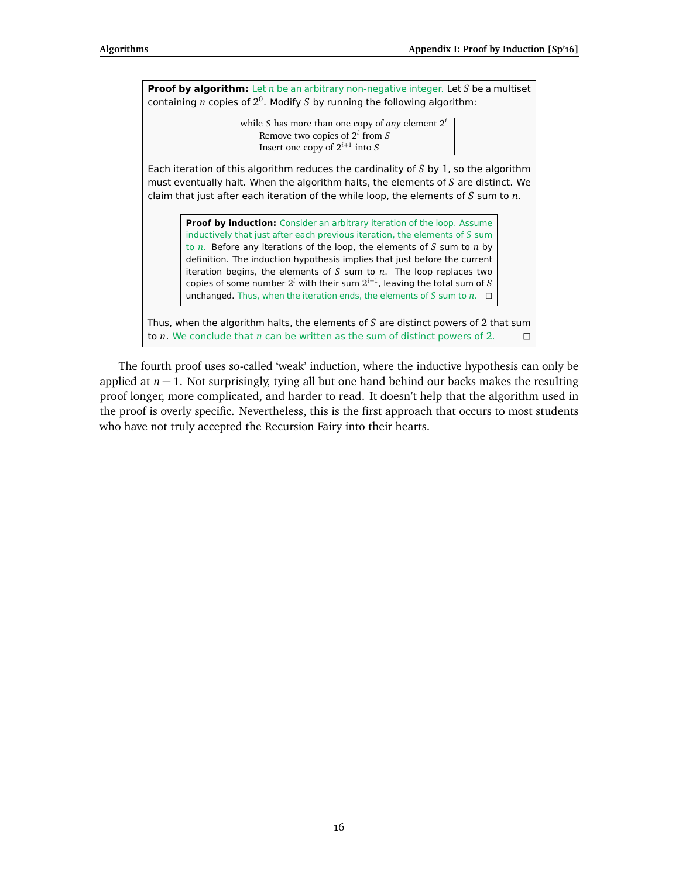**Proof by algorithm:** Let *n* be an arbitrary non-negative integer. Let *S* be a multiset containing n copies of  $2^0$ . Modify S by running the following algorithm:

| while S has more than one copy of any element $2^i$ |
|-----------------------------------------------------|
| Remove two copies of $2^i$ from S                   |
| Insert one copy of $2^{i+1}$ into S                 |

Each iteration of this algorithm reduces the cardinality of *S* by 1, so the algorithm must eventually halt. When the algorithm halts, the elements of *S* are distinct. We claim that just after each iteration of the while loop, the elements of *S* sum to *n*.

**Proof by induction:** Consider an arbitrary iteration of the loop. Assume inductively that just after each previous iteration, the elements of *S* sum to *n*. Before any iterations of the loop, the elements of *S* sum to *n* by definition. The induction hypothesis implies that just before the current iteration begins, the elements of *S* sum to *n*. The loop replaces two copies of some number  $2^i$  with their sum  $2^{i+1}$ , leaving the total sum of  $S$ unchanged. Thus, when the iteration ends, the elements of *S* sum to *n*.

Thus, when the algorithm halts, the elements of *S* are distinct powers of 2 that sum to *n*. We conclude that *n* can be written as the sum of distinct powers of 2.  $\Box$ 

The fourth proof uses so-called 'weak' induction, where the inductive hypothesis can only be applied at  $n-1$ . Not surprisingly, tying all but one hand behind our backs makes the resulting proof longer, more complicated, and harder to read. It doesn't help that the algorithm used in the proof is overly specific. Nevertheless, this is the first approach that occurs to most students who have not truly accepted the Recursion Fairy into their hearts.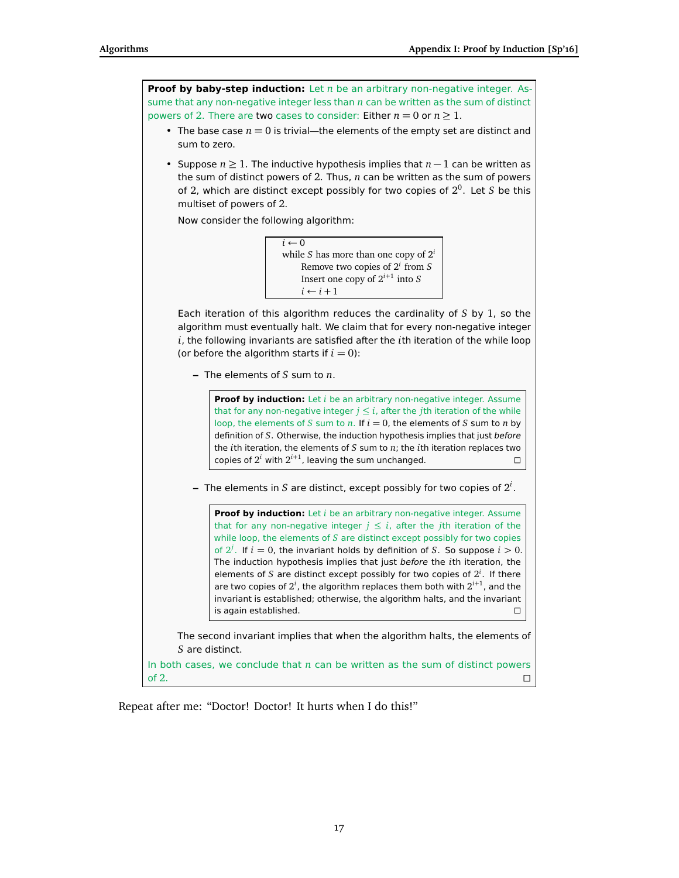**Proof by baby-step induction:** Let *n* be an arbitrary non-negative integer. Assume that any non-negative integer less than *n* can be written as the sum of distinct powers of 2. There are two cases to consider: Either  $n = 0$  or  $n \ge 1$ .

- The base case  $n = 0$  is trivial—the elements of the empty set are distinct and sum to zero.
- Suppose *n* ≥ 1. The inductive hypothesis implies that *n* − 1 can be written as the sum of distinct powers of 2. Thus, *n* can be written as the sum of powers of 2, which are distinct except possibly for two copies of  $2^0$ . Let  $S$  be this multiset of powers of 2.

Now consider the following algorithm:



Each iteration of this algorithm reduces the cardinality of *S* by 1, so the algorithm must eventually halt. We claim that for every non-negative integer *i*, the following invariants are satisfied after the *i*th iteration of the while loop (or before the algorithm starts if  $i = 0$ ):

**–** The elements of *S* sum to *n*.

**Proof by induction:** Let *i* be an arbitrary non-negative integer. Assume that for any non-negative integer  $j \leq i$ , after the *j*th iteration of the while loop, the elements of *S* sum to *n*. If  $i = 0$ , the elements of *S* sum to *n* by definition of *S*. Otherwise, the induction hypothesis implies that just before the *i*th iteration, the elements of *S* sum to *n*; the *i*th iteration replaces two copies of  $2^i$  with  $2^{i+1}$ , leaving the sum unchanged.

**–** The elements in *S* are distinct, except possibly for two copies of 2 *i* .

**Proof by induction:** Let *i* be an arbitrary non-negative integer. Assume that for any non-negative integer  $j \leq i$ , after the *j*th iteration of the while loop, the elements of *S* are distinct except possibly for two copies of  $2^{j}$ . If  $i = 0$ , the invariant holds by definition of *S*. So suppose  $i > 0$ . The induction hypothesis implies that just before the *i*th iteration, the elements of  $S$  are distinct except possibly for two copies of  $2^i$ . If there are two copies of  $2^i$ , the algorithm replaces them both with  $2^{i+1}$ , and the invariant is established; otherwise, the algorithm halts, and the invariant is again established.

The second invariant implies that when the algorithm halts, the elements of *S* are distinct.

In both cases, we conclude that *n* can be written as the sum of distinct powers of 2.

Repeat after me: "Doctor! Doctor! It hurts when I do this!"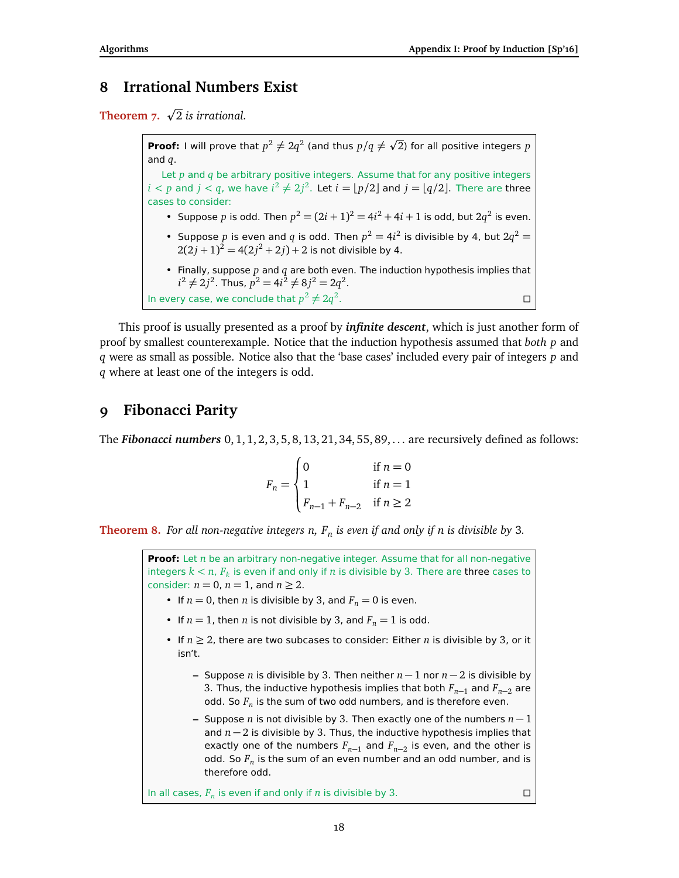# **8 Irrational Numbers Exist**

**Theorem 7.**  $\sqrt{2}$  *is irrational.* 

**Proof:** I will prove that  $p^2 \neq 2q^2$  (and thus  $p/q \neq \sqrt{q^2 + q^2}$ 2) for all positive integers *p* and *q*. Let *p* and *q* be arbitrary positive integers. Assume that for any positive integers  $i < p$  and  $j < q$ , we have  $i^2 \neq 2j^2$ . Let  $i = \lfloor p/2 \rfloor$  and  $j = \lfloor q/2 \rfloor$ . There are three cases to consider: • Suppose *p* is odd. Then  $p^2 = (2i + 1)^2 = 4i^2 + 4i + 1$  is odd, but  $2q^2$  is even.

- Suppose  $p$  is even and  $q$  is odd. Then  $p^2 = 4i^2$  is divisible by 4, but  $2q^2 =$  $2(2j+1)^2 = 4(2j^2+2j) + 2$  is not divisible by 4.
- Finally, suppose *p* and *q* are both even. The induction hypothesis implies that  $i^2 \neq 2j^2$ . Thus,  $p^2 = 4i^2 \neq 8j^2 = 2q^2$ . .

In every case, we conclude that  $p^2\neq 2q^2$ 

This proof is usually presented as a proof by *infinite descent*, which is just another form of proof by smallest counterexample. Notice that the induction hypothesis assumed that *both p* and *q* were as small as possible. Notice also that the 'base cases' included every pair of integers *p* and *q* where at least one of the integers is odd.

# **9 Fibonacci Parity**

The *Fibonacci numbers* 0, 1, 1, 2, 3, 5, 8, 13, 21, 34, 55, 89, . . . are recursively defined as follows:

$$
F_n = \begin{cases} 0 & \text{if } n = 0\\ 1 & \text{if } n = 1\\ F_{n-1} + F_{n-2} & \text{if } n \ge 2 \end{cases}
$$

**Theorem 8.** *For all non-negative integers n, F<sup>n</sup> is even if and only if n is divisible by* 3*.*

**Proof:** Let *n* be an arbitrary non-negative integer. Assume that for all non-negative integers  $k < n$ ,  $F_k$  is even if and only if  $n$  is divisible by 3. There are  $\operatorname{\sf three}$  cases to consider:  $n = 0$ ,  $n = 1$ , and  $n \ge 2$ .

- If  $n = 0$ , then *n* is divisible by 3, and  $F_n = 0$  is even.
- If  $n = 1$ , then *n* is not divisible by 3, and  $F_n = 1$  is odd.
- If  $n \geq 2$ , there are two subcases to consider: Either *n* is divisible by 3, or it isn't.
	- **–** Suppose *n* is divisible by 3. Then neither *n* − 1 nor *n* − 2 is divisible by 3. Thus, the inductive hypothesis implies that both  $F_{n-1}$  and  $F_{n-2}$  are odd. So  $F_n$  is the sum of two odd numbers, and is therefore even.
	- **–** Suppose *n* is not divisible by 3. Then exactly one of the numbers *n* − 1 and *n* − 2 is divisible by 3. Thus, the inductive hypothesis implies that exactly one of the numbers *Fn*−<sup>1</sup> and *Fn*−<sup>2</sup> is even, and the other is odd. So  $F_n$  is the sum of an even number and an odd number, and is therefore odd.

In all cases,  $F_n$  is even if and only if *n* is divisible by 3.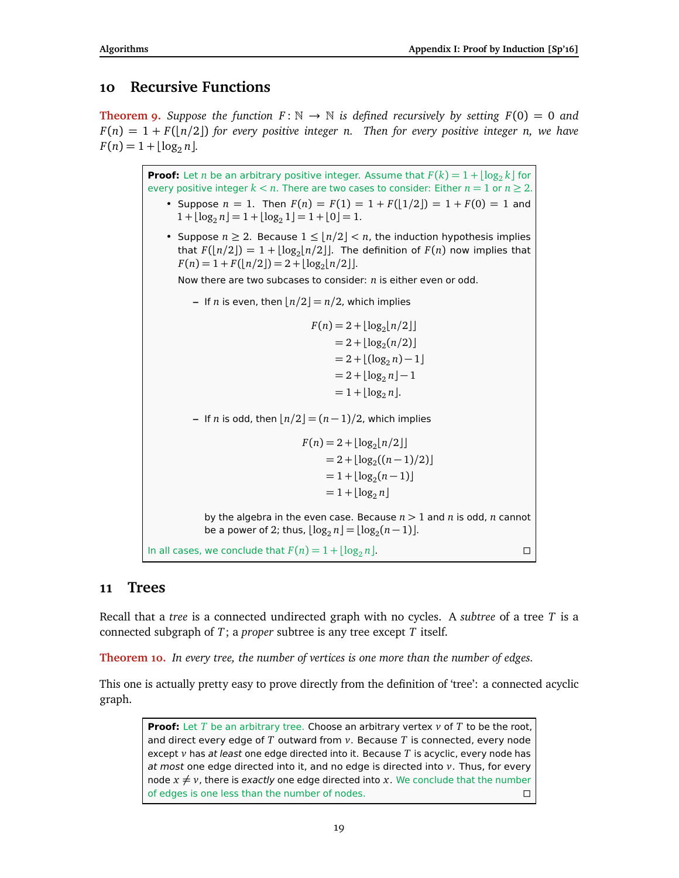# **10 Recursive Functions**

**Theorem 9.** Suppose the function  $F: \mathbb{N} \to \mathbb{N}$  is defined recursively by setting  $F(0) = 0$  and  $F(n) = 1 + F(|n/2|)$  *for every positive integer n*. Then *for every positive integer n, we have*  $F(n) = 1 + \lfloor \log_2 n \rfloor$ .

**Proof:** Let *n* be an arbitrary positive integer. Assume that  $F(k) = 1 + \log_2 k$  for every positive integer  $k < n$ . There are two cases to consider: Either  $n = 1$  or  $n \ge 2$ .

- Suppose  $n = 1$ . Then  $F(n) = F(1) = 1 + F(\lfloor 1/2 \rfloor) = 1 + F(0) = 1$  and  $1 + \lfloor \log_2 n \rfloor = 1 + \lfloor \log_2 1 \rfloor = 1 + \lfloor 0 \rfloor = 1.$
- Suppose  $n \geq 2$ . Because  $1 \leq \frac{n}{2} < n$ , the induction hypothesis implies that  $F(\lfloor n/2 \rfloor) = 1 + \lfloor \log_2\lfloor n/2 \rfloor$ . The definition of  $F(n)$  now implies that  $F(n) = 1 + F(\lfloor n/2 \rfloor) = 2 + \lfloor \log_2\lfloor n/2 \rfloor$ .

Now there are two subcases to consider: *n* is either even or odd.

**–** If *n* is even, then  $\frac{n}{2} = \frac{n}{2}$ , which implies

 $F(n) = 2 + \lfloor \log_2\lfloor n/2 \rfloor \rfloor$  $= 2 + \lfloor \log_2(n/2) \rfloor$  $= 2 + \lfloor (\log_2 n) - 1 \rfloor$  $= 2 + \lfloor \log_2 n \rfloor - 1$  $= 1 + |\log_2 n|$ .

**−** If *n* is odd, then  $\lfloor n/2 \rfloor = (n-1)/2$ , which implies

 $F(n) = 2 + \lfloor \log_2\lfloor n/2 \rfloor \rfloor$  $= 2 + \lfloor \log_2((n-1)/2) \rfloor$  $= 1 + \lfloor \log_2(n-1) \rfloor$  $= 1 + \lfloor \log_2 n \rfloor$ 

by the algebra in the even case. Because  $n > 1$  and  $n$  is odd,  $n$  cannot be a power of 2; thus,  $\lfloor \log_2 n \rfloor = \lfloor \log_2(n-1) \rfloor$ .

In all cases, we conclude that  $F(n) = 1 + |\log_2 n|$ .

#### **11 Trees**

Recall that a *tree* is a connected undirected graph with no cycles. A *subtree* of a tree *T* is a connected subgraph of *T*; a *proper* subtree is any tree except *T* itself.

**Theorem 10.** *In every tree, the number of vertices is one more than the number of edges.*

This one is actually pretty easy to prove directly from the definition of 'tree': a connected acyclic graph.

**Proof:** Let *T* be an arbitrary tree. Choose an arbitrary vertex *v* of *T* to be the root, and direct every edge of *T* outward from *v*. Because *T* is connected, every node except *v* has at least one edge directed into it. Because *T* is acyclic, every node has at most one edge directed into it, and no edge is directed into *v*. Thus, for every node  $x \neq v$ , there is exactly one edge directed into x. We conclude that the number of edges is one less than the number of nodes.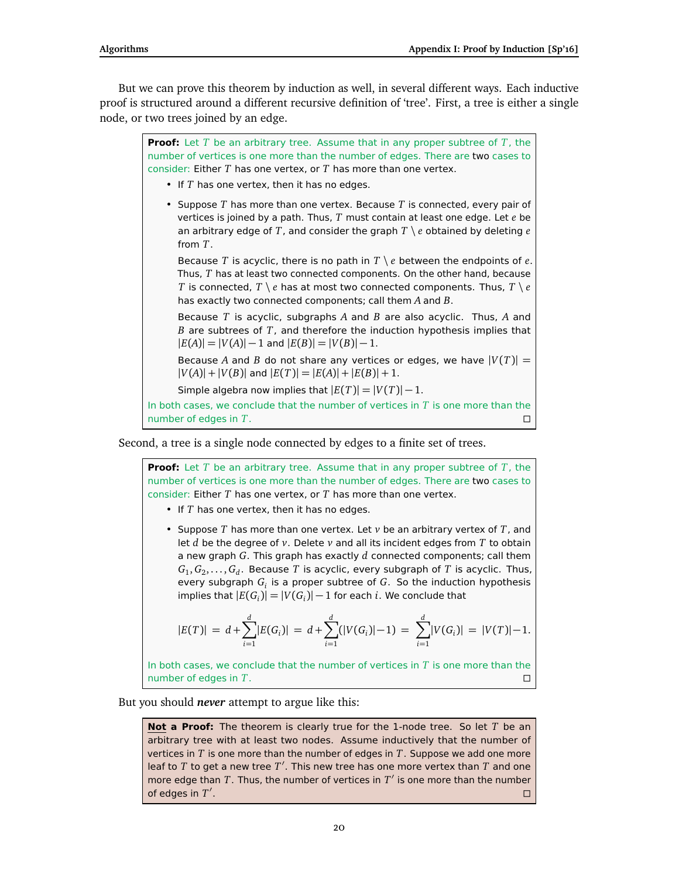But we can prove this theorem by induction as well, in several different ways. Each inductive proof is structured around a different recursive definition of 'tree'. First, a tree is either a single node, or two trees joined by an edge.

> **Proof:** Let *T* be an arbitrary tree. Assume that in any proper subtree of *T*, the number of vertices is one more than the number of edges. There are two cases to consider: Either *T* has one vertex, or *T* has more than one vertex.

- If *T* has one vertex, then it has no edges.
- Suppose *T* has more than one vertex. Because *T* is connected, every pair of vertices is joined by a path. Thus, *T* must contain at least one edge. Let *e* be an arbitrary edge of *T*, and consider the graph  $T \setminus e$  obtained by deleting  $e$ from *T*.

Because *T* is acyclic, there is no path in *T* \ *e* between the endpoints of *e*. Thus, *T* has at least two connected components. On the other hand, because *T* is connected,  $T \setminus e$  has at most two connected components. Thus,  $T \setminus e$ has exactly two connected components; call them *A* and *B*.

Because *T* is acyclic, subgraphs *A* and *B* are also acyclic. Thus, *A* and *B* are subtrees of *T*, and therefore the induction hypothesis implies that  $|E(A)| = |V(A)| - 1$  and  $|E(B)| = |V(B)| - 1$ .

Because *A* and *B* do not share any vertices or edges, we have  $|V(T)| =$  $|V(A)| + |V(B)|$  and  $|E(T)| = |E(A)| + |E(B)| + 1$ .

Simple algebra now implies that  $|E(T)| = |V(T)| - 1$ .

In both cases, we conclude that the number of vertices in *T* is one more than the number of edges in *T*.

Second, a tree is a single node connected by edges to a finite set of trees.

**Proof:** Let *T* be an arbitrary tree. Assume that in any proper subtree of *T*, the number of vertices is one more than the number of edges. There are two cases to consider: Either *T* has one vertex, or *T* has more than one vertex.

- If *T* has one vertex, then it has no edges.
- Suppose *T* has more than one vertex. Let *v* be an arbitrary vertex of *T*, and let *d* be the degree of *v*. Delete *v* and all its incident edges from *T* to obtain a new graph *G*. This graph has exactly *d* connected components; call them  $G_1, G_2, \ldots, G_d.$  Because  $T$  is acyclic, every subgraph of  $T$  is acyclic. Thus, every subgraph  $G_i$  is a proper subtree of  $G.$  So the induction hypothesis  $|E(G_i)| = |V(G_i)| - 1$  for each  $i$ . We conclude that

$$
|E(T)| = d + \sum_{i=1}^d |E(G_i)| = d + \sum_{i=1}^d (|V(G_i)| - 1) = \sum_{i=1}^d |V(G_i)| = |V(T)| - 1.
$$

In both cases, we conclude that the number of vertices in *T* is one more than the number of edges in *T*.

But you should *never* attempt to argue like this:

**Not a Proof:** The theorem is clearly true for the 1-node tree. So let *T* be an arbitrary tree with at least two nodes. Assume inductively that the number of vertices in *T* is one more than the number of edges in *T*. Suppose we add one more leaf to *T* to get a new tree  $T'$ . This new tree has one more vertex than *T* and one more edge than  $T$ . Thus, the number of vertices in  $T'$  is one more than the number of edges in  $T'$ .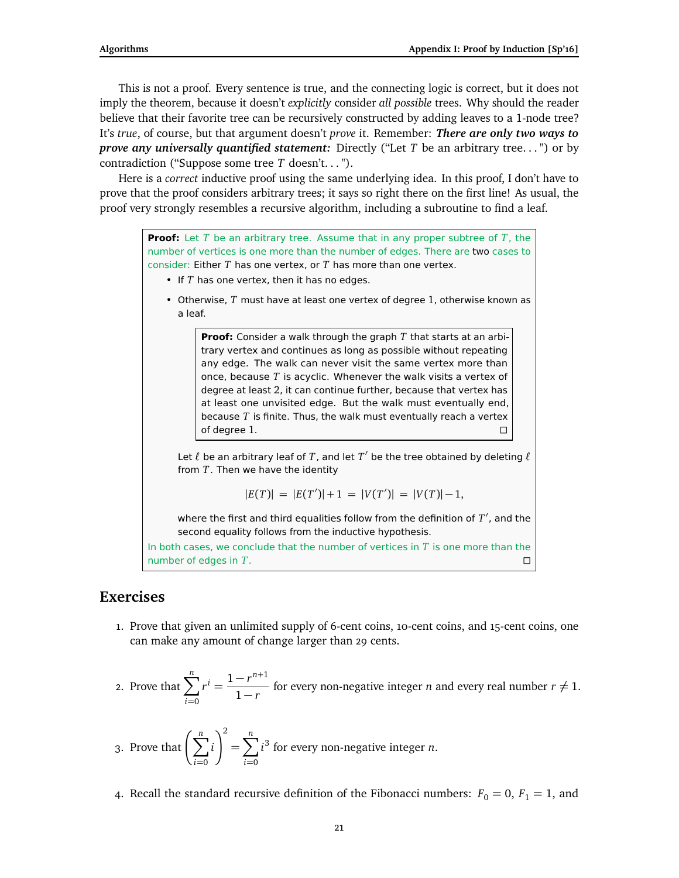This is not a proof. Every sentence is true, and the connecting logic is correct, but it does not imply the theorem, because it doesn't *explicitly* consider *all possible* trees. Why should the reader believe that their favorite tree can be recursively constructed by adding leaves to a 1-node tree? It's *true*, of course, but that argument doesn't *prove* it. Remember: *There are only two ways to prove any universally quantified statement:* Directly ("Let *T* be an arbitrary tree. . . ") or by contradiction ("Suppose some tree *T* doesn't. . . ").

Here is a *correct* inductive proof using the same underlying idea. In this proof, I don't have to prove that the proof considers arbitrary trees; it says so right there on the first line! As usual, the proof very strongly resembles a recursive algorithm, including a subroutine to find a leaf.

> **Proof:** Let *T* be an arbitrary tree. Assume that in any proper subtree of *T*, the number of vertices is one more than the number of edges. There are two cases to consider: Either *T* has one vertex, or *T* has more than one vertex.

- If *T* has one vertex, then it has no edges.
- Otherwise, *T* must have at least one vertex of degree 1, otherwise known as a leaf.

**Proof:** Consider a walk through the graph *T* that starts at an arbitrary vertex and continues as long as possible without repeating any edge. The walk can never visit the same vertex more than once, because *T* is acyclic. Whenever the walk visits a vertex of degree at least 2, it can continue further, because that vertex has at least one unvisited edge. But the walk must eventually end, because *T* is finite. Thus, the walk must eventually reach a vertex of degree  $1$ .

Let  $\ell$  be an arbitrary leaf of  $T$ , and let  $T'$  be the tree obtained by deleting  $\ell$ from *T*. Then we have the identity

$$
|E(T)| = |E(T')| + 1 = |V(T')| = |V(T)| - 1,
$$

where the first and third equalities follow from the definition of  $T'$ , and the second equality follows from the inductive hypothesis.

In both cases, we conclude that the number of vertices in *T* is one more than the number of edges in *T*.

### **Exercises**

- 1. Prove that given an unlimited supply of 6-cent coins, 10-cent coins, and 15-cent coins, one can make any amount of change larger than 29 cents.
- 2. Prove that  $\sum_{n=1}^n$ *i*=0  $r^{i} = \frac{1 - r^{n+1}}{1 - r}$  $\frac{1}{1-r}$  for every non-negative integer *n* and every real number  $r \neq 1$ .
- 3. Prove that  $\left(\sum_{n=1}^n\right)$ *i*=0 *i*  $\lambda^2$  $=\sum_{n=1}^{n}$ *i*=0 *i* 3 for every non-negative integer *n*.
- 4. Recall the standard recursive definition of the Fibonacci numbers:  $F_0 = 0$ ,  $F_1 = 1$ , and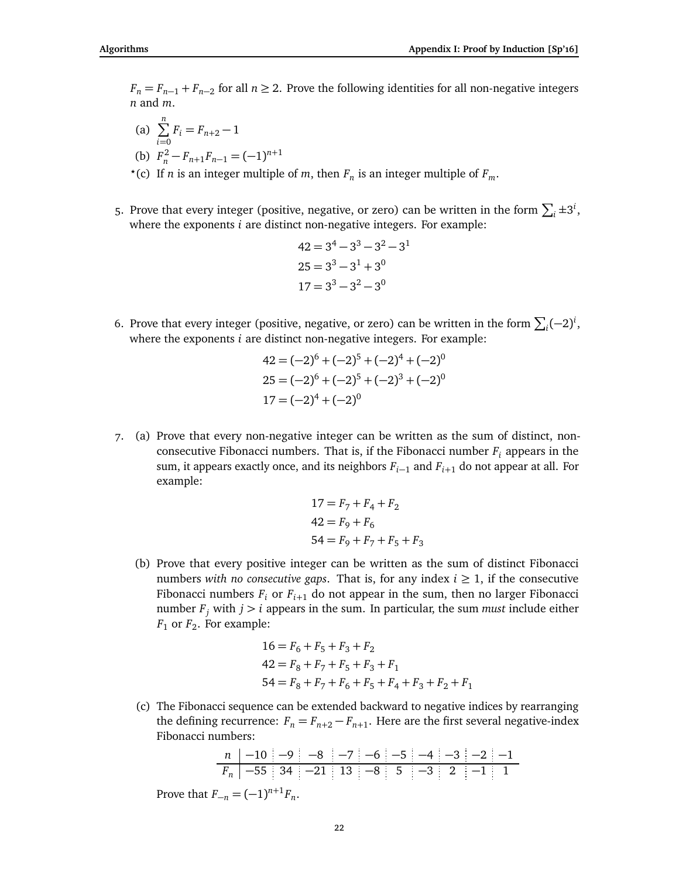$F_n = F_{n-1} + F_{n-2}$  for all  $n \ge 2$ . Prove the following identities for all non-negative integers *n* and *m*.

- (a)  $\sum_{n=1}^n$  $\sum_{i=0} F_i = F_{n+2} - 1$ (b)  $F_n^2 - F_{n+1}F_{n-1} = (-1)^{n+1}$
- $\star$  (c) If *n* is an integer multiple of *m*, then  $F_n$  is an integer multiple of  $F_m$ .
- 5. Prove that every integer (positive, negative, or zero) can be written in the form  $\sum_i \pm 3^i$ , where the exponents *i* are distinct non-negative integers. For example:

$$
42 = 34 - 33 - 32 - 31
$$
  

$$
25 = 33 - 31 + 30
$$
  

$$
17 = 33 - 32 - 30
$$

6. Prove that every integer (positive, negative, or zero) can be written in the form  $\sum_i (-2)^i$ , where the exponents *i* are distinct non-negative integers. For example:

$$
42 = (-2)^6 + (-2)^5 + (-2)^4 + (-2)^0
$$
  
\n
$$
25 = (-2)^6 + (-2)^5 + (-2)^3 + (-2)^0
$$
  
\n
$$
17 = (-2)^4 + (-2)^0
$$

7. (a) Prove that every non-negative integer can be written as the sum of distinct, nonconsecutive Fibonacci numbers. That is, if the Fibonacci number *F<sup>i</sup>* appears in the sum, it appears exactly once, and its neighbors *Fi*−<sup>1</sup> and *Fi*+<sup>1</sup> do not appear at all. For example:

$$
17 = F_7 + F_4 + F_2
$$
  
\n
$$
42 = F_9 + F_6
$$
  
\n
$$
54 = F_9 + F_7 + F_5 + F_3
$$

(b) Prove that every positive integer can be written as the sum of distinct Fibonacci numbers *with no consecutive gaps*. That is, for any index  $i \geq 1$ , if the consecutive Fibonacci numbers  $F_i$  or  $F_{i+1}$  do not appear in the sum, then no larger Fibonacci number  $F_i$  with  $j > i$  appears in the sum. In particular, the sum *must* include either  $F_1$  or  $F_2$ . For example:

$$
16 = F_6 + F_5 + F_3 + F_2
$$
  
\n
$$
42 = F_8 + F_7 + F_5 + F_3 + F_1
$$
  
\n
$$
54 = F_8 + F_7 + F_6 + F_5 + F_4 + F_3 + F_2 + F_1
$$

(c) The Fibonacci sequence can be extended backward to negative indices by rearranging the defining recurrence:  $F_n = F_{n+2} - F_{n+1}$ . Here are the first several negative-index Fibonacci numbers:

| n     | -10 | -9 | -8  | -7 | -6 | -5 | -4 | -3 | -2 | -1 |
|-------|-----|----|-----|----|----|----|----|----|----|----|
| $F_n$ | -55 | 34 | -21 | 13 | -8 | 5  | -3 | 2  | -1 | 1  |

Prove that  $F_{-n} = (-1)^{n+1} F_n$ .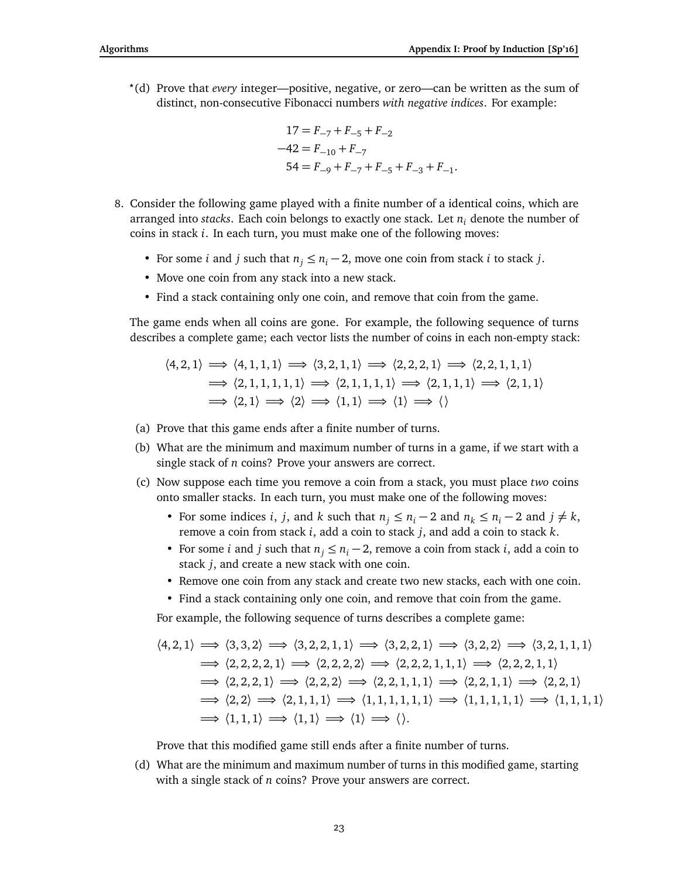.

*?* (d) Prove that *every* integer—positive, negative, or zero—can be written as the sum of distinct, non-consecutive Fibonacci numbers *with negative indices*. For example:

$$
17 = F_{-7} + F_{-5} + F_{-2}
$$
  
-42 = F\_{-10} + F\_{-7}  
54 = F\_{-9} + F\_{-7} + F\_{-5} + F\_{-3} + F\_{-1}

- 8. Consider the following game played with a finite number of a identical coins, which are arranged into *stacks*. Each coin belongs to exactly one stack. Let *n<sup>i</sup>* denote the number of coins in stack *i*. In each turn, you must make one of the following moves:
	- For some *i* and *j* such that  $n<sub>i</sub> \le n<sub>i</sub> 2$ , move one coin from stack *i* to stack *j*.
	- Move one coin from any stack into a new stack.
	- Find a stack containing only one coin, and remove that coin from the game.

The game ends when all coins are gone. For example, the following sequence of turns describes a complete game; each vector lists the number of coins in each non-empty stack:

$$
\langle 4,2,1 \rangle \implies \langle 4,1,1,1 \rangle \implies \langle 3,2,1,1 \rangle \implies \langle 2,2,2,1 \rangle \implies \langle 2,2,1,1,1 \rangle
$$
  
\n
$$
\implies \langle 2,1,1,1,1,1 \rangle \implies \langle 2,1,1,1,1 \rangle \implies \langle 2,1,1,1 \rangle \implies \langle 2,1,1 \rangle
$$
  
\n
$$
\implies \langle 2,1 \rangle \implies \langle 2 \rangle \implies \langle 1,1 \rangle \implies \langle 1 \rangle \implies \langle \rangle
$$

- (a) Prove that this game ends after a finite number of turns.
- (b) What are the minimum and maximum number of turns in a game, if we start with a single stack of *n* coins? Prove your answers are correct.
- (c) Now suppose each time you remove a coin from a stack, you must place *two* coins onto smaller stacks. In each turn, you must make one of the following moves:
	- For some indices *i*, *j*, and *k* such that  $n_j \leq n_i 2$  and  $n_k \leq n_i 2$  and  $j \neq k$ , remove a coin from stack *i*, add a coin to stack *j*, and add a coin to stack *k*.
	- For some *i* and *j* such that  $n_i \leq n_i 2$ , remove a coin from stack *i*, add a coin to stack *j*, and create a new stack with one coin.
	- Remove one coin from any stack and create two new stacks, each with one coin.
	- Find a stack containing only one coin, and remove that coin from the game.

For example, the following sequence of turns describes a complete game:

$$
\langle 4,2,1 \rangle \implies \langle 3,3,2 \rangle \implies \langle 3,2,2,1,1 \rangle \implies \langle 3,2,2,1 \rangle \implies \langle 3,2,2 \rangle \implies \langle 3,2,1,1,1 \rangle
$$
  
\n
$$
\implies \langle 2,2,2,2,1 \rangle \implies \langle 2,2,2,2 \rangle \implies \langle 2,2,2,1,1,1 \rangle \implies \langle 2,2,2,1,1 \rangle
$$
  
\n
$$
\implies \langle 2,2,2,1 \rangle \implies \langle 2,2,2 \rangle \implies \langle 2,2,1,1,1 \rangle \implies \langle 2,2,1,1 \rangle \implies \langle 2,2,1 \rangle
$$
  
\n
$$
\implies \langle 2,2 \rangle \implies \langle 2,1,1,1 \rangle \implies \langle 1,1,1,1,1,1 \rangle \implies \langle 1,1,1,1,1 \rangle \implies \langle 1,1,1,1,1 \rangle
$$
  
\n
$$
\implies \langle 1,1,1 \rangle \implies \langle 1,1 \rangle \implies \langle 1 \rangle \implies \langle 1 \rangle
$$

Prove that this modified game still ends after a finite number of turns.

(d) What are the minimum and maximum number of turns in this modified game, starting with a single stack of *n* coins? Prove your answers are correct.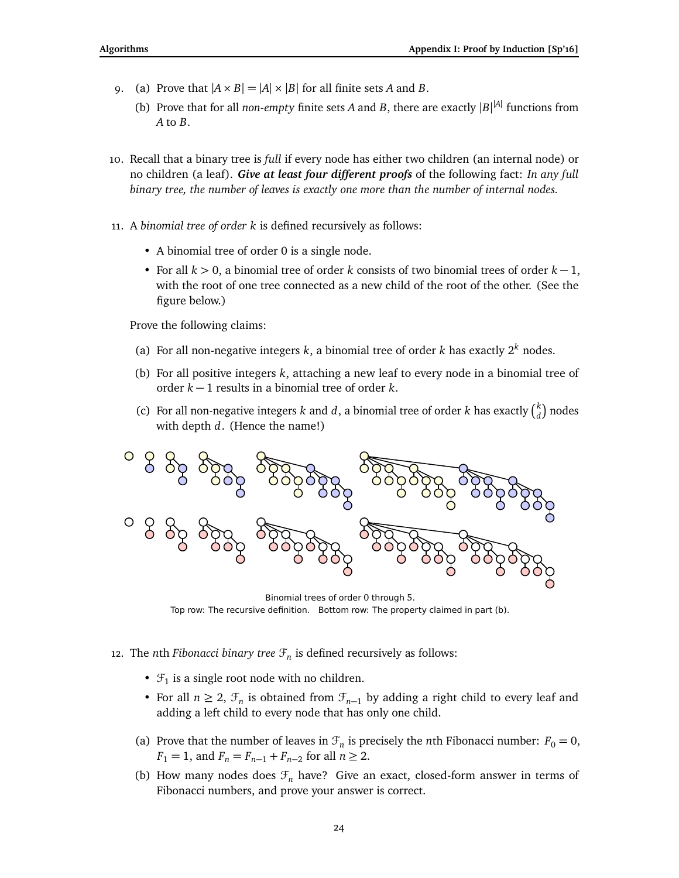- 9. (a) Prove that  $|A \times B| = |A| \times |B|$  for all finite sets *A* and *B*.
	- (b) Prove that for all *non-empty* finite sets *A* and *B*, there are exactly  $|B|^{|A|}$  functions from *A* to *B*.
- 10. Recall that a binary tree is *full* if every node has either two children (an internal node) or no children (a leaf). *Give at least four different proofs* of the following fact: *In any full binary tree, the number of leaves is exactly one more than the number of internal nodes.*
- 11. A *binomial tree of order k* is defined recursively as follows:
	- A binomial tree of order 0 is a single node.
	- For all *k >* 0, a binomial tree of order *k* consists of two binomial trees of order *k* − 1, with the root of one tree connected as a new child of the root of the other. (See the figure below.)

Prove the following claims:

- (a) For all non-negative integers  $k$ , a binomial tree of order  $k$  has exactly  $2^k$  nodes.
- (b) For all positive integers *k*, attaching a new leaf to every node in a binomial tree of order *k* − 1 results in a binomial tree of order *k*.
- (c) For all non-negative integers *k* and *d*, a binomial tree of order *k* has exactly  $\binom{k}{d}$  $\binom{k}{d}$  nodes with depth *d*. (Hence the name!)



Binomial trees of order 0 through 5. Top row: The recursive definition. Bottom row: The property claimed in part (b).

- 12. The *nth Fibonacci binary tree*  $\mathcal{F}_n$  is defined recursively as follows:
	- $\mathcal{F}_1$  is a single root node with no children.
	- For all  $n \geq 2$ ,  $\mathcal{F}_n$  is obtained from  $\mathcal{F}_{n-1}$  by adding a right child to every leaf and adding a left child to every node that has only one child.
	- (a) Prove that the number of leaves in  $\mathcal{F}_n$  is precisely the *n*th Fibonacci number:  $F_0 = 0$ ,  $F_1 = 1$ , and  $F_n = F_{n-1} + F_{n-2}$  for all  $n \ge 2$ .
	- (b) How many nodes does  $\mathcal{F}_n$  have? Give an exact, closed-form answer in terms of Fibonacci numbers, and prove your answer is correct.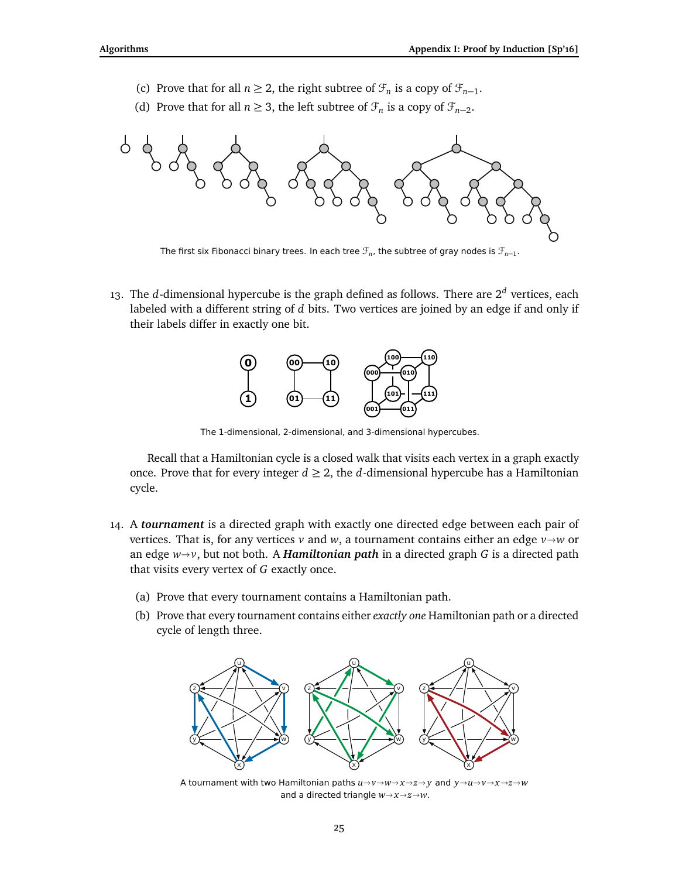- (c) Prove that for all *n* ≥ 2, the right subtree of  $\mathcal{F}_n$  is a copy of  $\mathcal{F}_{n-1}$ .
- (d) Prove that for all  $n \ge 3$ , the left subtree of  $\mathcal{F}_n$  is a copy of  $\mathcal{F}_{n-2}$ .



The first six Fibonacci binary trees. In each tree  $\mathcal{F}_n$ , the subtree of gray nodes is  $\mathcal{F}_{n-1}.$ 

13. The *d*-dimensional hypercube is the graph defined as follows. There are 2 *d* vertices, each labeled with a different string of *d* bits. Two vertices are joined by an edge if and only if their labels differ in exactly one bit.



The 1-dimensional, 2-dimensional, and 3-dimensional hypercubes.

Recall that a Hamiltonian cycle is a closed walk that visits each vertex in a graph exactly once. Prove that for every integer  $d \geq 2$ , the *d*-dimensional hypercube has a Hamiltonian cycle.

- 14. A *tournament* is a directed graph with exactly one directed edge between each pair of vertices. That is, for any vertices *v* and *w*, a tournament contains either an edge  $v \rightarrow w$  or an edge  $w \rightarrow v$ , but not both. A *Hamiltonian path* in a directed graph *G* is a directed path that visits every vertex of *G* exactly once.
	- (a) Prove that every tournament contains a Hamiltonian path.
	- (b) Prove that every tournament contains either *exactly one* Hamiltonian path or a directed cycle of length three.



A tournament with two Hamiltonian paths  $u \rightarrow v \rightarrow w \rightarrow x \rightarrow z \rightarrow y$  and  $y \rightarrow u \rightarrow v \rightarrow x \rightarrow z \rightarrow w$ and a directed triangle  $w \rightarrow x \rightarrow z \rightarrow w$ .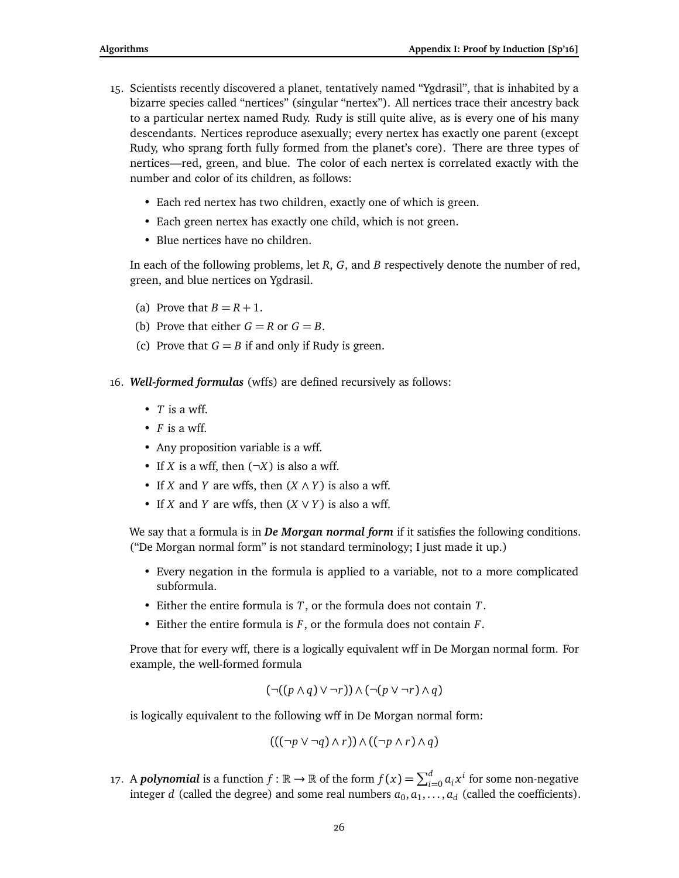- 15. Scientists recently discovered a planet, tentatively named "Ygdrasil", that is inhabited by a bizarre species called "nertices" (singular "nertex"). All nertices trace their ancestry back to a particular nertex named Rudy. Rudy is still quite alive, as is every one of his many descendants. Nertices reproduce asexually; every nertex has exactly one parent (except Rudy, who sprang forth fully formed from the planet's core). There are three types of nertices—red, green, and blue. The color of each nertex is correlated exactly with the number and color of its children, as follows:
	- Each red nertex has two children, exactly one of which is green.
	- Each green nertex has exactly one child, which is not green.
	- Blue nertices have no children.

In each of the following problems, let *R*, *G*, and *B* respectively denote the number of red, green, and blue nertices on Ygdrasil.

- (a) Prove that  $B = R + 1$ .
- (b) Prove that either  $G = R$  or  $G = B$ .
- (c) Prove that  $G = B$  if and only if Rudy is green.
- 16. *Well-formed formulas* (wffs) are defined recursively as follows:
	- *T* is a wff.
	- *F* is a wff.
	- Any proposition variable is a wff.
	- If *X* is a wff, then  $(\neg X)$  is also a wff.
	- If *X* and *Y* are wffs, then (*X* ∧ *Y* ) is also a wff.
	- If *X* and *Y* are wffs, then (*X* ∨ *Y* ) is also a wff.

We say that a formula is in *De Morgan normal form* if it satisfies the following conditions. ("De Morgan normal form" is not standard terminology; I just made it up.)

- Every negation in the formula is applied to a variable, not to a more complicated subformula.
- Either the entire formula is *T*, or the formula does not contain *T*.
- Either the entire formula is *F*, or the formula does not contain *F*.

Prove that for every wff, there is a logically equivalent wff in De Morgan normal form. For example, the well-formed formula

$$
(\neg((p \land q) \lor \neg r)) \land (\neg(p \lor \neg r) \land q)
$$

is logically equivalent to the following wff in De Morgan normal form:

$$
(((\neg p \vee \neg q) \wedge r)) \wedge ((\neg p \wedge r) \wedge q)
$$

17. A *polynomial* is a function  $f : \mathbb{R} \to \mathbb{R}$  of the form  $f(x) = \sum_{i=0}^{d} a_i x^i$  for some non-negative integer *d* (called the degree) and some real numbers  $a_0, a_1, \ldots, a_d$  (called the coefficients).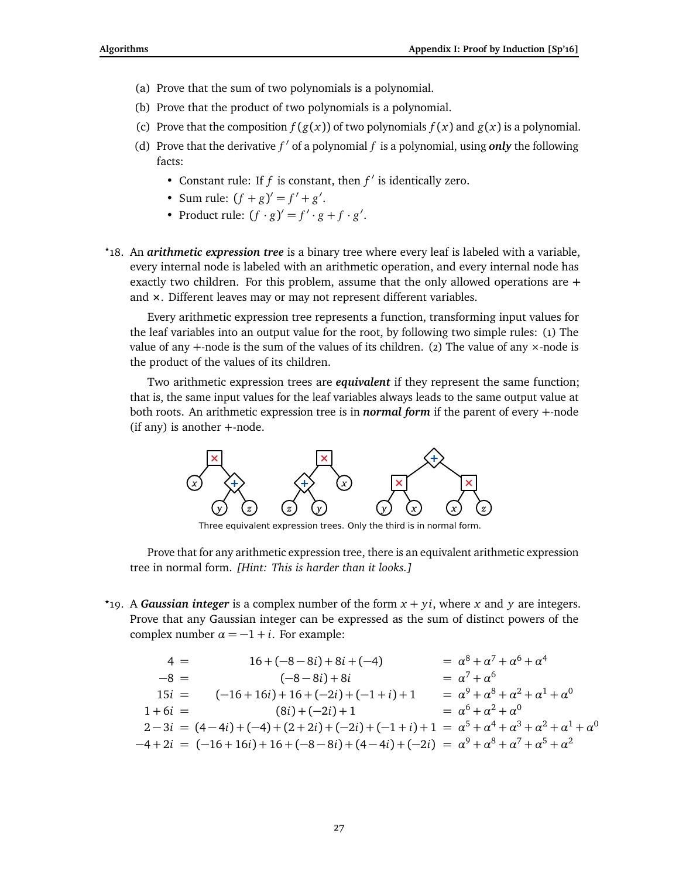- (a) Prove that the sum of two polynomials is a polynomial.
- (b) Prove that the product of two polynomials is a polynomial.
- (c) Prove that the composition  $f(g(x))$  of two polynomials  $f(x)$  and  $g(x)$  is a polynomial.
- (d) Prove that the derivative  $f'$  of a polynomial  $f$  is a polynomial, using only the following facts:
	- Constant rule: If  $f$  is constant, then  $f'$  is identically zero.
	- Sum rule:  $(f + g)' = f' + g'$ .
	- Product rule:  $(f \cdot g)' = f' \cdot g + f \cdot g'$ .
- *?* 18. An *arithmetic expression tree* is a binary tree where every leaf is labeled with a variable, every internal node is labeled with an arithmetic operation, and every internal node has exactly two children. For this problem, assume that the only allowed operations are **+** and **×**. Different leaves may or may not represent different variables.

Every arithmetic expression tree represents a function, transforming input values for the leaf variables into an output value for the root, by following two simple rules: (1) The value of any  $+$ -node is the sum of the values of its children. (2) The value of any  $\times$ -node is the product of the values of its children.

Two arithmetic expression trees are *equivalent* if they represent the same function; that is, the same input values for the leaf variables always leads to the same output value at both roots. An arithmetic expression tree is in *normal form* if the parent of every +-node  $(if any)$  is another  $+$ -node.



Three equivalent expression trees. Only the third is in normal form.

Prove that for any arithmetic expression tree, there is an equivalent arithmetic expression tree in normal form. *[Hint: This is harder than it looks.]*

*?* 19. A *Gaussian integer* is a complex number of the form *x* + *yi*, where *x* and *y* are integers. Prove that any Gaussian integer can be expressed as the sum of distinct powers of the complex number  $\alpha = -1 + i$ . For example:

$$
4 = 16 + (-8 - 8i) + 8i + (-4) = \alpha^{8} + \alpha^{7} + \alpha^{6} + \alpha^{4}
$$
  
\n
$$
-8 = (-8 - 8i) + 8i = \alpha^{7} + \alpha^{6}
$$
  
\n
$$
15i = (-16 + 16i) + 16 + (-2i) + (-1 + i) + 1 = \alpha^{9} + \alpha^{8} + \alpha^{2} + \alpha^{1} + \alpha^{0}
$$
  
\n
$$
1+6i = (8i) + (-2i) + 1 = \alpha^{6} + \alpha^{2} + \alpha^{0}
$$
  
\n
$$
2-3i = (4-4i) + (-4) + (2+2i) + (-2i) + (-1+i) + 1 = \alpha^{5} + \alpha^{4} + \alpha^{3} + \alpha^{2} + \alpha^{1} + \alpha^{0}
$$
  
\n
$$
-4+2i = (-16+16i) + 16 + (-8-8i) + (4-4i) + (-2i) = \alpha^{9} + \alpha^{8} + \alpha^{7} + \alpha^{5} + \alpha^{2}
$$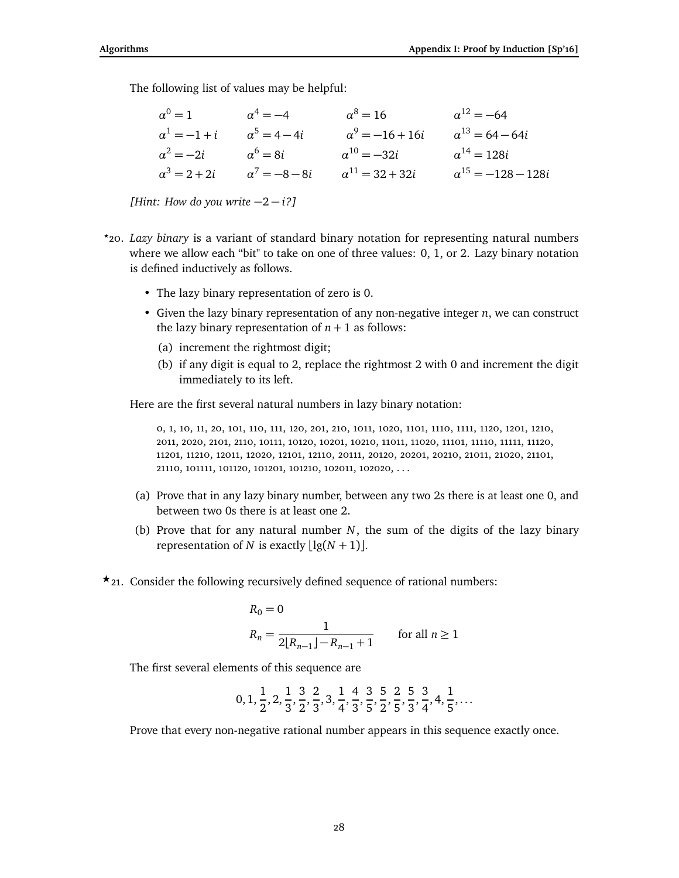The following list of values may be helpful:

| $\alpha^0=1$          | $\alpha^4 = -4$      | $\alpha^8=16$            | $\alpha^{12} = -64$         |
|-----------------------|----------------------|--------------------------|-----------------------------|
| $\alpha^{1} = -1 + i$ | $\alpha^5 = 4 - 4i$  | $\alpha^9 = -16 + 16i$   | $\alpha^{13} = 64 - 64i$    |
| $\alpha^2 = -2i$      | $\alpha^6=8i$        | $\alpha^{10} = -32i$     | $\alpha^{14} = 128i$        |
| $\alpha^3 = 2 + 2i$   | $\alpha^7 = -8 - 8i$ | $\alpha^{11} = 32 + 32i$ | $\alpha^{15} = -128 - 128i$ |

*[Hint: How do you write* −2 − *i?]*

- *?* 20. *Lazy binary* is a variant of standard binary notation for representing natural numbers where we allow each "bit" to take on one of three values: 0, 1, or 2. Lazy binary notation is defined inductively as follows.
	- The lazy binary representation of zero is 0.
	- Given the lazy binary representation of any non-negative integer *n*, we can construct the lazy binary representation of  $n + 1$  as follows:
		- (a) increment the rightmost digit;
		- (b) if any digit is equal to 2, replace the rightmost 2 with 0 and increment the digit immediately to its left.

Here are the first several natural numbers in lazy binary notation:

0, 1, 10, 11, 20, 101, 110, 111, 120, 201, 210, 1011, 1020, 1101, 1110, 1111, 1120, 1201, 1210, 2011, 2020, 2101, 2110, 10111, 10120, 10201, 10210, 11011, 11020, 11101, 11110, 11111, 11120, 11201, 11210, 12011, 12020, 12101, 12110, 20111, 20120, 20201, 20210, 21011, 21020, 21101, 21110, 101111, 101120, 101201, 101210, 102011, 102020, . . .

- (a) Prove that in any lazy binary number, between any two 2s there is at least one 0, and between two 0s there is at least one 2.
- (b) Prove that for any natural number *N*, the sum of the digits of the lazy binary representation of *N* is exactly  $\left| \lg(N + 1) \right|$ .
- $\star$  21. Consider the following recursively defined sequence of rational numbers:

$$
R_0 = 0
$$
  

$$
R_n = \frac{1}{2[R_{n-1}] - R_{n-1} + 1}
$$
 for all  $n \ge 1$ 

The first several elements of this sequence are

$$
0, 1, \frac{1}{2}, 2, \frac{1}{3}, \frac{3}{2}, \frac{2}{3}, 3, \frac{1}{4}, \frac{4}{3}, \frac{3}{5}, \frac{5}{2}, \frac{2}{5}, \frac{5}{3}, \frac{3}{4}, 4, \frac{1}{5}, \dots
$$

Prove that every non-negative rational number appears in this sequence exactly once.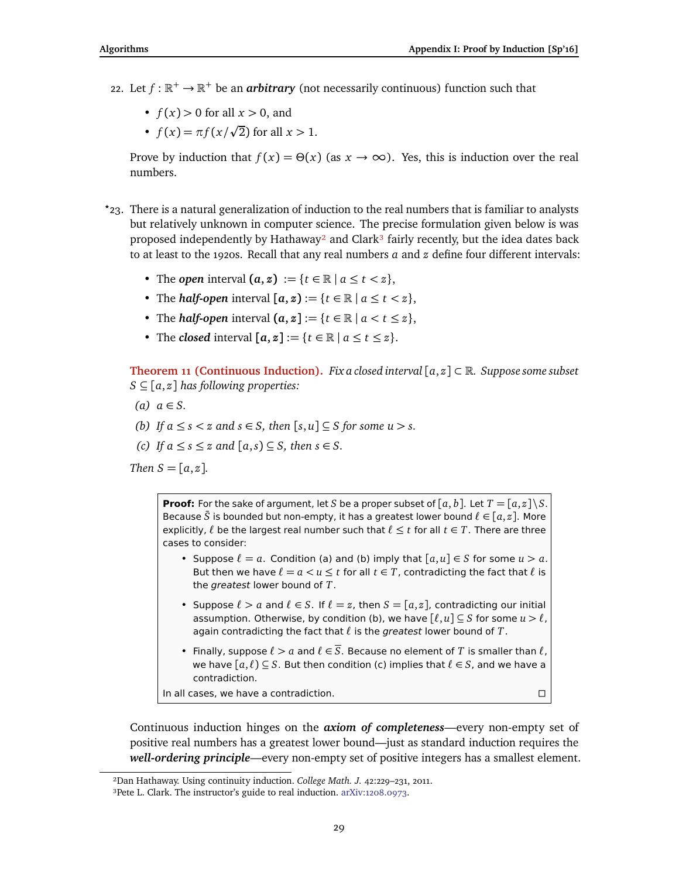- 22. Let  $f: \mathbb{R}^+ \to \mathbb{R}^+$  be an *arbitrary* (not necessarily continuous) function such that
	- $f(x) > 0$  for all  $x > 0$ , and
	- $f(x) = \pi f(x/\sqrt{2})$  for all  $x > 1$ .

Prove by induction that  $f(x) = \Theta(x)$  (as  $x \to \infty$ ). Yes, this is induction over the real numbers.

- *?* 23. There is a natural generalization of induction to the real numbers that is familiar to analysts but relatively unknown in computer science. The precise formulation given below is was proposed independently by Hathaway<sup>2</sup> and Clark<sup>3</sup> fairly recently, but the idea dates back to at least to the 1920s. Recall that any real numbers *a* and *z* define four different intervals:
	- The *open* interval  $(a, z) := \{t \in \mathbb{R} \mid a \le t < z\},\$
	- The *half-open* interval  $[a, z) := \{t \in \mathbb{R} \mid a \le t < z\},\$
	- The *half-open* interval  $(a, z) := \{t \in \mathbb{R} \mid a < t \leq z\}$ ,
	- The *closed* interval  $[a, z] := \{t \in \mathbb{R} \mid a \le t \le z\}.$

**Theorem 11 (Continuous Induction).** *Fix a closed interval* [*a*, *z*] ⊂ R*. Suppose some subset*  $S \subseteq [a, z]$  *has following properties:* 

- $(a)$  *a* ∈ *S*.
- *(b) If*  $a \le s < z$  *and*  $s \in S$ *, then*  $[s, u] \subseteq S$  *for some*  $u > s$ *.*
- *(c) If*  $a \le s \le z$  *and*  $[a, s) \subseteq S$ *, then*  $s \in S$ *.*

*Then*  $S = [a, z]$ *.* 

**Proof:** For the sake of argument, let *S* be a proper subset of [a, b]. Let  $T = [a, z] \ S$ . Because  $\overline{S}$  is bounded but non-empty, it has a greatest lower bound  $\ell \in [a, z]$ . More explicitly,  $\ell$  be the largest real number such that  $\ell \leq t$  for all  $t \in T$ . There are three cases to consider:

- Suppose  $\ell = a$ . Condition (a) and (b) imply that  $[a, u] \in S$  for some  $u > a$ . But then we have  $\ell = a < u \leq t$  for all  $t \in T$ , contradicting the fact that  $\ell$  is the greatest lower bound of *T*.
- Suppose  $\ell > a$  and  $\ell \in S$ . If  $\ell = \zeta$ , then  $S = [a, \zeta]$ , contradicting our initial assumption. Otherwise, by condition (b), we have  $[\ell, u] \subseteq S$  for some  $u > \ell$ , again contradicting the fact that  $\ell$  is the greatest lower bound of  $T$ .
- Finally, suppose  $\ell > a$  and  $\ell \in \overline{S}$ . Because no element of T is smaller than  $\ell$ , we have  $[a, \ell) \subseteq S$ . But then condition (c) implies that  $\ell \in S$ , and we have a contradiction.

In all cases, we have a contradiction. The same state  $\square$ 

Continuous induction hinges on the *axiom of completeness*—every non-empty set of positive real numbers has a greatest lower bound—just as standard induction requires the *well-ordering principle*—every non-empty set of positive integers has a smallest element.

<span id="page-28-0"></span>²Dan Hathaway. Using continuity induction. *College Math. J.* 42:229–231, 2011.

<span id="page-28-1"></span><sup>&</sup>lt;sup>3</sup>Pete L. Clark. The instructor's guide to real induction. [arXiv:1208.0973.](http://arxiv.org/abs/1208.0973)